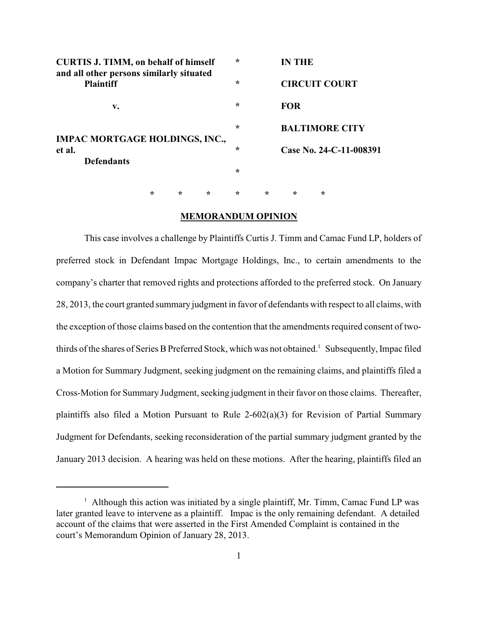| <b>CURTIS J. TIMM, on behalf of himself</b><br>and all other persons similarly situated |   |   |         | $\star$ |                      | <b>IN THE</b>           |   |  |
|-----------------------------------------------------------------------------------------|---|---|---------|---------|----------------------|-------------------------|---|--|
| <b>Plaintiff</b>                                                                        |   |   | $\star$ |         | <b>CIRCUIT COURT</b> |                         |   |  |
| v.                                                                                      |   |   |         | $\star$ |                      | <b>FOR</b>              |   |  |
| <b>IMPAC MORTGAGE HOLDINGS, INC.,</b>                                                   |   |   |         | $\star$ |                      | <b>BALTIMORE CITY</b>   |   |  |
| et al.<br><b>Defendants</b>                                                             |   |   |         | $\star$ |                      | Case No. 24-C-11-008391 |   |  |
|                                                                                         |   |   |         | $\star$ |                      |                         |   |  |
|                                                                                         | ÷ | ÷ | $\star$ | $\star$ | $\ast$               | $\star$                 | ∗ |  |

#### **MEMORANDUM OPINION**

This case involves a challenge by Plaintiffs Curtis J. Timm and Camac Fund LP, holders of preferred stock in Defendant Impac Mortgage Holdings, Inc., to certain amendments to the company's charter that removed rights and protections afforded to the preferred stock. On January 28, 2013, the court granted summary judgment in favor of defendants with respect to all claims, with the exception of those claims based on the contention that the amendments required consent of twothirds of the shares of Series B Preferred Stock, which was not obtained.<sup>1</sup> Subsequently, Impac filed a Motion for Summary Judgment, seeking judgment on the remaining claims, and plaintiffs filed a Cross-Motion for Summary Judgment, seeking judgment in their favor on those claims. Thereafter, plaintiffs also filed a Motion Pursuant to Rule 2-602(a)(3) for Revision of Partial Summary Judgment for Defendants, seeking reconsideration of the partial summary judgment granted by the January 2013 decision. A hearing was held on these motions. After the hearing, plaintiffs filed an

 $<sup>1</sup>$  Although this action was initiated by a single plaintiff, Mr. Timm, Camac Fund LP was</sup> later granted leave to intervene as a plaintiff. Impac is the only remaining defendant. A detailed account of the claims that were asserted in the First Amended Complaint is contained in the court's Memorandum Opinion of January 28, 2013.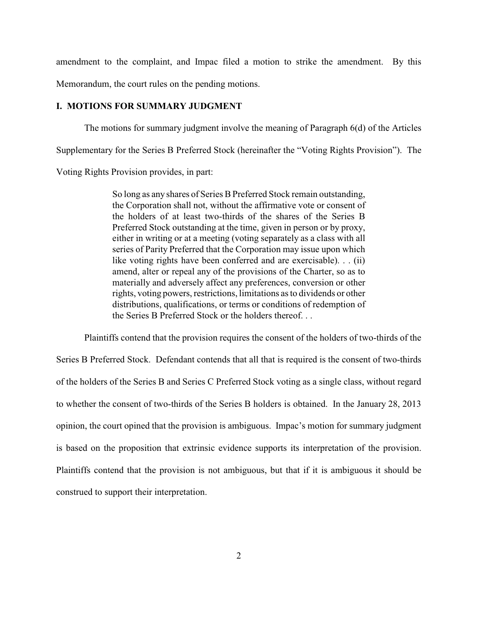amendment to the complaint, and Impac filed a motion to strike the amendment. By this

Memorandum, the court rules on the pending motions.

### **I. MOTIONS FOR SUMMARY JUDGMENT**

The motions for summary judgment involve the meaning of Paragraph 6(d) of the Articles Supplementary for the Series B Preferred Stock (hereinafter the "Voting Rights Provision"). The

Voting Rights Provision provides, in part:

So long as any shares of Series B Preferred Stock remain outstanding, the Corporation shall not, without the affirmative vote or consent of the holders of at least two-thirds of the shares of the Series B Preferred Stock outstanding at the time, given in person or by proxy, either in writing or at a meeting (voting separately as a class with all series of Parity Preferred that the Corporation may issue upon which like voting rights have been conferred and are exercisable). . . (ii) amend, alter or repeal any of the provisions of the Charter, so as to materially and adversely affect any preferences, conversion or other rights, voting powers, restrictions, limitations as to dividends or other distributions, qualifications, or terms or conditions of redemption of the Series B Preferred Stock or the holders thereof. . .

Plaintiffs contend that the provision requires the consent of the holders of two-thirds of the Series B Preferred Stock. Defendant contends that all that is required is the consent of two-thirds of the holders of the Series B and Series C Preferred Stock voting as a single class, without regard to whether the consent of two-thirds of the Series B holders is obtained. In the January 28, 2013 opinion, the court opined that the provision is ambiguous. Impac's motion for summary judgment is based on the proposition that extrinsic evidence supports its interpretation of the provision. Plaintiffs contend that the provision is not ambiguous, but that if it is ambiguous it should be construed to support their interpretation.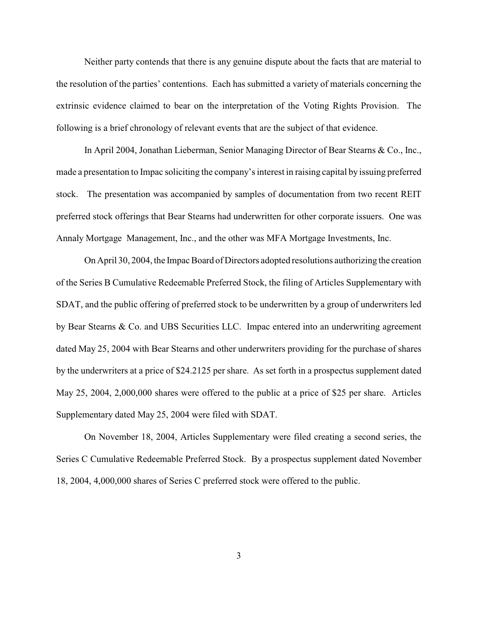Neither party contends that there is any genuine dispute about the facts that are material to the resolution of the parties' contentions. Each has submitted a variety of materials concerning the extrinsic evidence claimed to bear on the interpretation of the Voting Rights Provision. The following is a brief chronology of relevant events that are the subject of that evidence.

In April 2004, Jonathan Lieberman, Senior Managing Director of Bear Stearns & Co., Inc., made a presentation to Impac soliciting the company's interest in raising capital by issuing preferred stock. The presentation was accompanied by samples of documentation from two recent REIT preferred stock offerings that Bear Stearns had underwritten for other corporate issuers. One was Annaly Mortgage Management, Inc., and the other was MFA Mortgage Investments, Inc.

On April 30, 2004, the Impac Board of Directors adopted resolutions authorizing the creation of the Series B Cumulative Redeemable Preferred Stock, the filing of Articles Supplementary with SDAT, and the public offering of preferred stock to be underwritten by a group of underwriters led by Bear Stearns & Co. and UBS Securities LLC. Impac entered into an underwriting agreement dated May 25, 2004 with Bear Stearns and other underwriters providing for the purchase of shares by the underwriters at a price of \$24.2125 per share. As set forth in a prospectus supplement dated May 25, 2004, 2,000,000 shares were offered to the public at a price of \$25 per share. Articles Supplementary dated May 25, 2004 were filed with SDAT.

On November 18, 2004, Articles Supplementary were filed creating a second series, the Series C Cumulative Redeemable Preferred Stock. By a prospectus supplement dated November 18, 2004, 4,000,000 shares of Series C preferred stock were offered to the public.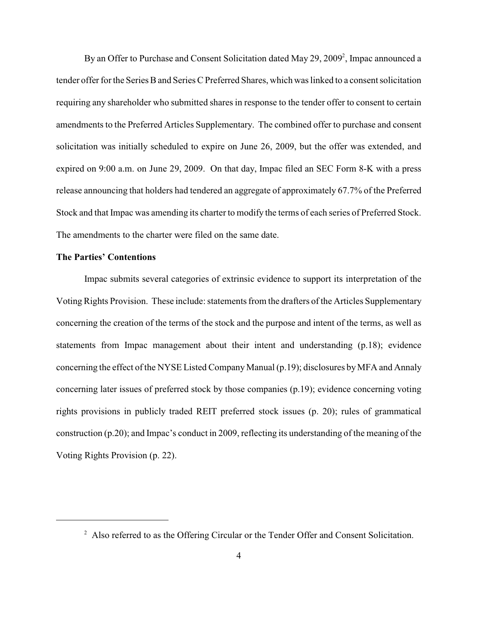By an Offer to Purchase and Consent Solicitation dated May 29, 2009<sup>2</sup>, Impac announced a tender offer for the Series B and Series C Preferred Shares, which was linked to a consent solicitation requiring any shareholder who submitted shares in response to the tender offer to consent to certain amendments to the Preferred Articles Supplementary. The combined offer to purchase and consent solicitation was initially scheduled to expire on June 26, 2009, but the offer was extended, and expired on 9:00 a.m. on June 29, 2009. On that day, Impac filed an SEC Form 8-K with a press release announcing that holders had tendered an aggregate of approximately 67.7% of the Preferred Stock and that Impac was amending its charter to modify the terms of each series of Preferred Stock. The amendments to the charter were filed on the same date.

## **The Parties' Contentions**

Impac submits several categories of extrinsic evidence to support its interpretation of the Voting Rights Provision. These include: statements from the drafters of the Articles Supplementary concerning the creation of the terms of the stock and the purpose and intent of the terms, as well as statements from Impac management about their intent and understanding (p.18); evidence concerning the effect of the NYSE Listed Company Manual (p.19); disclosures byMFA and Annaly concerning later issues of preferred stock by those companies (p.19); evidence concerning voting rights provisions in publicly traded REIT preferred stock issues (p. 20); rules of grammatical construction (p.20); and Impac's conduct in 2009, reflecting its understanding of the meaning of the Voting Rights Provision (p. 22).

<sup>&</sup>lt;sup>2</sup> Also referred to as the Offering Circular or the Tender Offer and Consent Solicitation.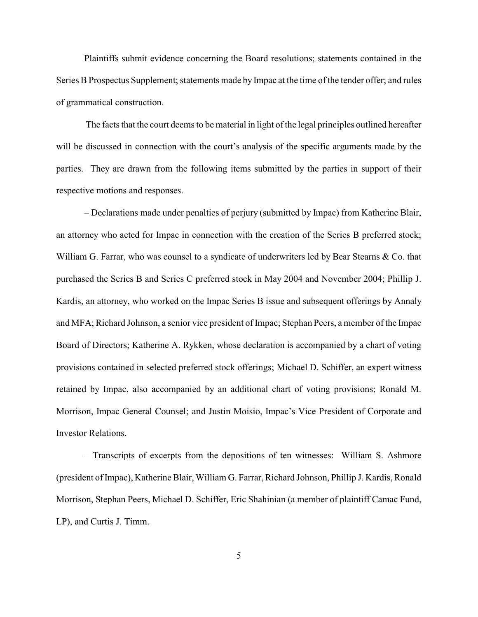Plaintiffs submit evidence concerning the Board resolutions; statements contained in the Series B Prospectus Supplement; statements made by Impac at the time of the tender offer; and rules of grammatical construction.

The facts that the court deems to be material in light of the legal principles outlined hereafter will be discussed in connection with the court's analysis of the specific arguments made by the parties. They are drawn from the following items submitted by the parties in support of their respective motions and responses.

– Declarations made under penalties of perjury (submitted by Impac) from Katherine Blair, an attorney who acted for Impac in connection with the creation of the Series B preferred stock; William G. Farrar, who was counsel to a syndicate of underwriters led by Bear Stearns & Co. that purchased the Series B and Series C preferred stock in May 2004 and November 2004; Phillip J. Kardis, an attorney, who worked on the Impac Series B issue and subsequent offerings by Annaly and MFA; Richard Johnson, a senior vice president of Impac; Stephan Peers, a member of the Impac Board of Directors; Katherine A. Rykken, whose declaration is accompanied by a chart of voting provisions contained in selected preferred stock offerings; Michael D. Schiffer, an expert witness retained by Impac, also accompanied by an additional chart of voting provisions; Ronald M. Morrison, Impac General Counsel; and Justin Moisio, Impac's Vice President of Corporate and Investor Relations.

– Transcripts of excerpts from the depositions of ten witnesses: William S. Ashmore (president of Impac), Katherine Blair, William G. Farrar, Richard Johnson, Phillip J. Kardis, Ronald Morrison, Stephan Peers, Michael D. Schiffer, Eric Shahinian (a member of plaintiff Camac Fund, LP), and Curtis J. Timm.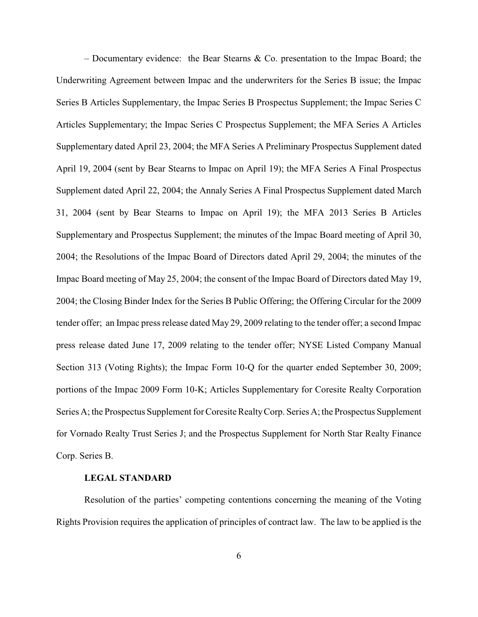– Documentary evidence: the Bear Stearns & Co. presentation to the Impac Board; the Underwriting Agreement between Impac and the underwriters for the Series B issue; the Impac Series B Articles Supplementary, the Impac Series B Prospectus Supplement; the Impac Series C Articles Supplementary; the Impac Series C Prospectus Supplement; the MFA Series A Articles Supplementary dated April 23, 2004; the MFA Series A Preliminary Prospectus Supplement dated April 19, 2004 (sent by Bear Stearns to Impac on April 19); the MFA Series A Final Prospectus Supplement dated April 22, 2004; the Annaly Series A Final Prospectus Supplement dated March 31, 2004 (sent by Bear Stearns to Impac on April 19); the MFA 2013 Series B Articles Supplementary and Prospectus Supplement; the minutes of the Impac Board meeting of April 30, 2004; the Resolutions of the Impac Board of Directors dated April 29, 2004; the minutes of the Impac Board meeting of May 25, 2004; the consent of the Impac Board of Directors dated May 19, 2004; the Closing Binder Index for the Series B Public Offering; the Offering Circular for the 2009 tender offer; an Impac press release dated May 29, 2009 relating to the tender offer; a second Impac press release dated June 17, 2009 relating to the tender offer; NYSE Listed Company Manual Section 313 (Voting Rights); the Impac Form 10-Q for the quarter ended September 30, 2009; portions of the Impac 2009 Form 10-K; Articles Supplementary for Coresite Realty Corporation Series A; the Prospectus Supplement for Coresite RealtyCorp. Series A; the Prospectus Supplement for Vornado Realty Trust Series J; and the Prospectus Supplement for North Star Realty Finance Corp. Series B.

### **LEGAL STANDARD**

Resolution of the parties' competing contentions concerning the meaning of the Voting Rights Provision requires the application of principles of contract law. The law to be applied is the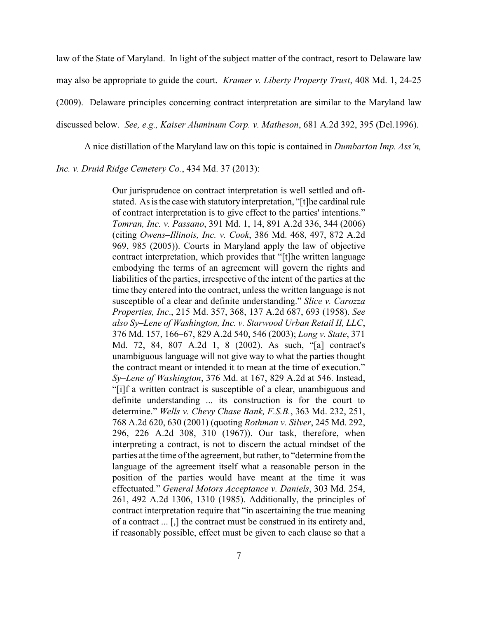law of the State of Maryland. In light of the subject matter of the contract, resort to Delaware law may also be appropriate to guide the court. *Kramer v. Liberty Property Trust*, 408 Md. 1, 24-25 (2009). Delaware principles concerning contract interpretation are similar to the Maryland law discussed below. *See, e.g., Kaiser Aluminum Corp. v. Matheson*, 681 A.2d 392, 395 (Del.1996).

A nice distillation of the Maryland law on this topic is contained in *Dumbarton Imp. Ass'n,*

## *Inc. v. Druid Ridge Cemetery Co.*, 434 Md. 37 (2013):

Our jurisprudence on contract interpretation is well settled and oftstated. As is the case with statutory interpretation, "[t]he cardinal rule of contract interpretation is to give effect to the parties' intentions." *Tomran, Inc. v. Passano*, 391 Md. 1, 14, 891 A.2d 336, 344 (2006) (citing *Owens–Illinois, Inc. v. Cook*, 386 Md. 468, 497, 872 A.2d 969, 985 (2005)). Courts in Maryland apply the law of objective contract interpretation, which provides that "[t]he written language embodying the terms of an agreement will govern the rights and liabilities of the parties, irrespective of the intent of the parties at the time they entered into the contract, unless the written language is not susceptible of a clear and definite understanding." *Slice v. Carozza Properties, Inc*., 215 Md. 357, 368, 137 A.2d 687, 693 (1958). *See also Sy–Lene of Washington, Inc. v. Starwood Urban Retail II, LLC*, 376 Md. 157, 166–67, 829 A.2d 540, 546 (2003); *Long v. State*, 371 Md. 72, 84, 807 A.2d 1, 8 (2002). As such, "[a] contract's unambiguous language will not give way to what the parties thought the contract meant or intended it to mean at the time of execution." *Sy–Lene of Washington*, 376 Md. at 167, 829 A.2d at 546. Instead, "[i]f a written contract is susceptible of a clear, unambiguous and definite understanding ... its construction is for the court to determine." *Wells v. Chevy Chase Bank, F.S.B.*, 363 Md. 232, 251, 768 A.2d 620, 630 (2001) (quoting *Rothman v. Silver*, 245 Md. 292, 296, 226 A.2d 308, 310 (1967)). Our task, therefore, when interpreting a contract, is not to discern the actual mindset of the parties at the time of the agreement, but rather, to "determine from the language of the agreement itself what a reasonable person in the position of the parties would have meant at the time it was effectuated." *General Motors Acceptance v. Daniels*, 303 Md. 254, 261, 492 A.2d 1306, 1310 (1985). Additionally, the principles of contract interpretation require that "in ascertaining the true meaning of a contract ... [,] the contract must be construed in its entirety and, if reasonably possible, effect must be given to each clause so that a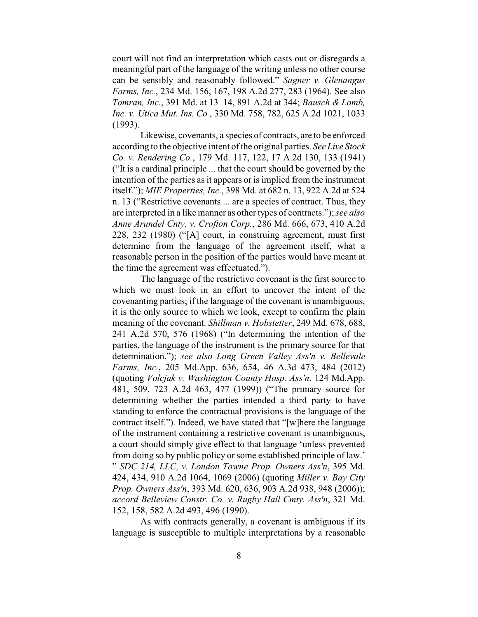court will not find an interpretation which casts out or disregards a meaningful part of the language of the writing unless no other course can be sensibly and reasonably followed." *Sagner v. Glenangus Farms, Inc.*, 234 Md. 156, 167, 198 A.2d 277, 283 (1964). See also *Tomran, Inc*., 391 Md. at 13–14, 891 A.2d at 344; *Bausch & Lomb, Inc. v. Utica Mut. Ins. Co.*, 330 Md. 758, 782, 625 A.2d 1021, 1033 (1993).

Likewise, covenants, a species of contracts, are to be enforced according to the objective intent of the original parties. *See Live Stock Co. v. Rendering Co.*, 179 Md. 117, 122, 17 A.2d 130, 133 (1941) ("It is a cardinal principle ... that the court should be governed by the intention of the parties as it appears or is implied from the instrument itself."); *MIE Properties, Inc.*, 398 Md. at 682 n. 13, 922 A.2d at 524 n. 13 ("Restrictive covenants ... are a species of contract. Thus, they are interpreted in a like manner as other types of contracts."); *see also Anne Arundel Cnty. v. Crofton Corp.*, 286 Md. 666, 673, 410 A.2d 228, 232 (1980) ("[A] court, in construing agreement, must first determine from the language of the agreement itself, what a reasonable person in the position of the parties would have meant at the time the agreement was effectuated.").

The language of the restrictive covenant is the first source to which we must look in an effort to uncover the intent of the covenanting parties; if the language of the covenant is unambiguous, it is the only source to which we look, except to confirm the plain meaning of the covenant. *Shillman v. Hobstetter*, 249 Md. 678, 688, 241 A.2d 570, 576 (1968) ("In determining the intention of the parties, the language of the instrument is the primary source for that determination."); *see also Long Green Valley Ass'n v. Bellevale Farms, Inc.*, 205 Md.App. 636, 654, 46 A.3d 473, 484 (2012) (quoting *Volcjak v. Washington County Hosp. Ass'n*, 124 Md.App. 481, 509, 723 A.2d 463, 477 (1999)) ("The primary source for determining whether the parties intended a third party to have standing to enforce the contractual provisions is the language of the contract itself."). Indeed, we have stated that "[w]here the language of the instrument containing a restrictive covenant is unambiguous, a court should simply give effect to that language 'unless prevented from doing so by public policy or some established principle of law.' " *SDC 214, LLC, v. London Towne Prop. Owners Ass'n*, 395 Md. 424, 434, 910 A.2d 1064, 1069 (2006) (quoting *Miller v. Bay City Prop. Owners Ass'n*, 393 Md. 620, 636, 903 A.2d 938, 948 (2006)); *accord Belleview Constr. Co. v. Rugby Hall Cmty. Ass'n*, 321 Md. 152, 158, 582 A.2d 493, 496 (1990).

As with contracts generally, a covenant is ambiguous if its language is susceptible to multiple interpretations by a reasonable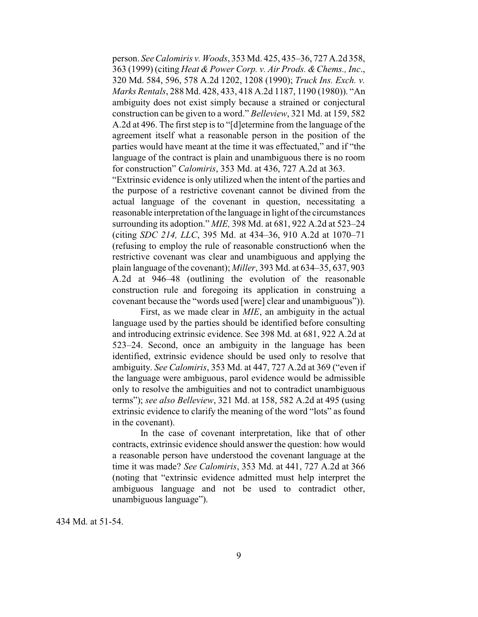person. *See Calomiris v. Woods*, 353 Md. 425, 435–36, 727 A.2d 358, 363 (1999) (citing *Heat & Power Corp. v. Air Prods. &Chems., Inc*., 320 Md. 584, 596, 578 A.2d 1202, 1208 (1990); *Truck Ins. Exch. v. Marks Rentals*, 288 Md. 428, 433, 418 A.2d 1187, 1190 (1980)). "An ambiguity does not exist simply because a strained or conjectural construction can be given to a word." *Belleview*, 321 Md. at 159, 582 A.2d at 496. The first step is to "[d]etermine from the language of the agreement itself what a reasonable person in the position of the parties would have meant at the time it was effectuated," and if "the language of the contract is plain and unambiguous there is no room for construction" *Calomiris*, 353 Md. at 436, 727 A.2d at 363.

"Extrinsic evidence is only utilized when the intent of the parties and the purpose of a restrictive covenant cannot be divined from the actual language of the covenant in question, necessitating a reasonable interpretation of the language in light of the circumstances surrounding its adoption." *MIE,* 398 Md. at 681, 922 A.2d at 523–24 (citing *SDC 214, LLC*, 395 Md. at 434–36, 910 A.2d at 1070–71 (refusing to employ the rule of reasonable construction6 when the restrictive covenant was clear and unambiguous and applying the plain language of the covenant); *Miller*, 393 Md. at 634–35, 637, 903 A.2d at 946–48 (outlining the evolution of the reasonable construction rule and foregoing its application in construing a covenant because the "words used [were] clear and unambiguous")).

First, as we made clear in *MIE*, an ambiguity in the actual language used by the parties should be identified before consulting and introducing extrinsic evidence. See 398 Md. at 681, 922 A.2d at 523–24. Second, once an ambiguity in the language has been identified, extrinsic evidence should be used only to resolve that ambiguity. *See Calomiris*, 353 Md. at 447, 727 A.2d at 369 ("even if the language were ambiguous, parol evidence would be admissible only to resolve the ambiguities and not to contradict unambiguous terms"); *see also Belleview*, 321 Md. at 158, 582 A.2d at 495 (using extrinsic evidence to clarify the meaning of the word "lots" as found in the covenant).

In the case of covenant interpretation, like that of other contracts, extrinsic evidence should answer the question: how would a reasonable person have understood the covenant language at the time it was made? *See Calomiris*, 353 Md. at 441, 727 A.2d at 366 (noting that "extrinsic evidence admitted must help interpret the ambiguous language and not be used to contradict other, unambiguous language").

434 Md. at 51-54.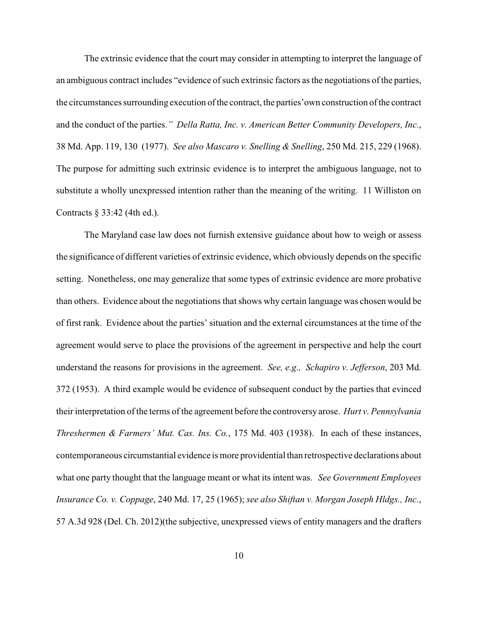The extrinsic evidence that the court may consider in attempting to interpret the language of an ambiguous contract includes "evidence of such extrinsic factors as the negotiations of the parties, the circumstances surrounding execution of the contract, the parties'own construction of the contract and the conduct of the parties.*" Della Ratta, Inc. v. American Better Community Developers, Inc.*, 38 Md. App. 119, 130 (1977). *See also Mascaro v. Snelling & Snelling*, 250 Md. 215, 229 (1968). The purpose for admitting such extrinsic evidence is to interpret the ambiguous language, not to substitute a wholly unexpressed intention rather than the meaning of the writing. 11 Williston on Contracts § 33:42 (4th ed.).

The Maryland case law does not furnish extensive guidance about how to weigh or assess the significance of different varieties of extrinsic evidence, which obviously depends on the specific setting. Nonetheless, one may generalize that some types of extrinsic evidence are more probative than others. Evidence about the negotiations that shows why certain language was chosen would be of first rank. Evidence about the parties' situation and the external circumstances at the time of the agreement would serve to place the provisions of the agreement in perspective and help the court understand the reasons for provisions in the agreement. *See, e.g., Schapiro v. Jefferson*, 203 Md. 372 (1953). A third example would be evidence of subsequent conduct by the parties that evinced their interpretation of the terms of the agreement before the controversy arose. *Hurt v. Pennsylvania Threshermen & Farmers' Mut. Cas. Ins. Co.*, 175 Md. 403 (1938). In each of these instances, contemporaneous circumstantial evidence is more providential than retrospective declarations about what one party thought that the language meant or what its intent was. *See Government Employees Insurance Co. v. Coppage*, 240 Md. 17, 25 (1965); *see also Shiftan v. Morgan Joseph Hldgs., Inc.*, 57 A.3d 928 (Del. Ch. 2012)(the subjective, unexpressed views of entity managers and the drafters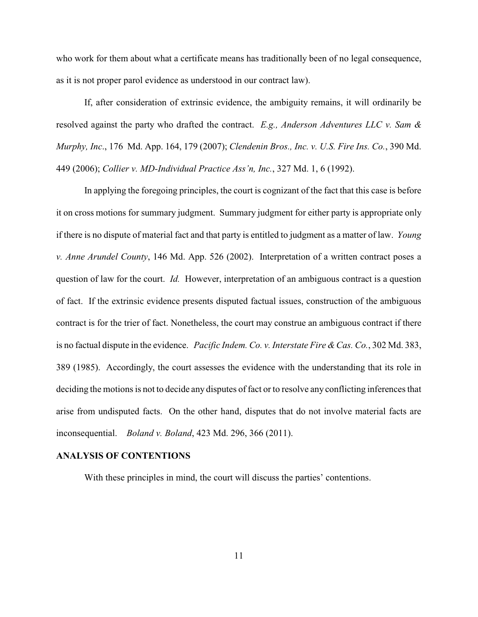who work for them about what a certificate means has traditionally been of no legal consequence, as it is not proper parol evidence as understood in our contract law).

If, after consideration of extrinsic evidence, the ambiguity remains, it will ordinarily be resolved against the party who drafted the contract. *E.g., Anderson Adventures LLC v. Sam & Murphy, Inc*., 176 Md. App. 164, 179 (2007); *Clendenin Bros., Inc. v. U.S. Fire Ins. Co.*, 390 Md. 449 (2006); *Collier v. MD-Individual Practice Ass'n, Inc.*, 327 Md. 1, 6 (1992).

In applying the foregoing principles, the court is cognizant of the fact that this case is before it on cross motions for summary judgment. Summary judgment for either party is appropriate only if there is no dispute of material fact and that party is entitled to judgment as a matter of law. *Young v. Anne Arundel County*, 146 Md. App. 526 (2002). Interpretation of a written contract poses a question of law for the court. *Id.* However, interpretation of an ambiguous contract is a question of fact. If the extrinsic evidence presents disputed factual issues, construction of the ambiguous contract is for the trier of fact. Nonetheless, the court may construe an ambiguous contract if there is no factual dispute in the evidence. *Pacific Indem. Co. v. Interstate Fire &Cas. Co.*, 302 Md. 383, 389 (1985). Accordingly, the court assesses the evidence with the understanding that its role in deciding the motions is not to decide any disputes of fact or to resolve any conflicting inferences that arise from undisputed facts. On the other hand, disputes that do not involve material facts are inconsequential. *Boland v. Boland*, 423 Md. 296, 366 (2011).

## **ANALYSIS OF CONTENTIONS**

With these principles in mind, the court will discuss the parties' contentions.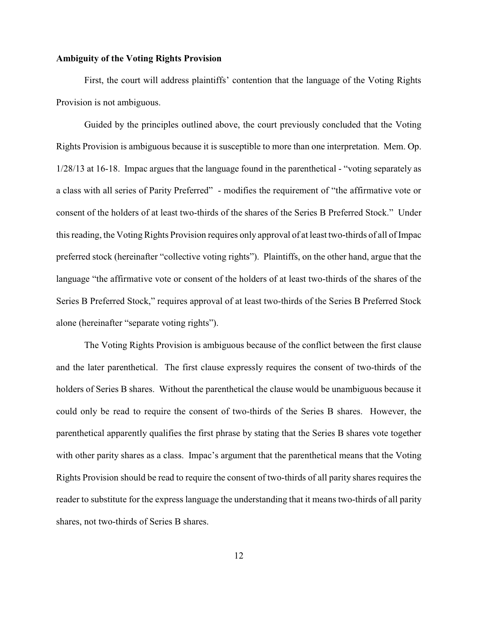### **Ambiguity of the Voting Rights Provision**

First, the court will address plaintiffs' contention that the language of the Voting Rights Provision is not ambiguous.

Guided by the principles outlined above, the court previously concluded that the Voting Rights Provision is ambiguous because it is susceptible to more than one interpretation. Mem. Op. 1/28/13 at 16-18. Impac argues that the language found in the parenthetical - "voting separately as a class with all series of Parity Preferred" - modifies the requirement of "the affirmative vote or consent of the holders of at least two-thirds of the shares of the Series B Preferred Stock." Under this reading, the Voting Rights Provision requires only approval of at least two-thirds of all of Impac preferred stock (hereinafter "collective voting rights"). Plaintiffs, on the other hand, argue that the language "the affirmative vote or consent of the holders of at least two-thirds of the shares of the Series B Preferred Stock," requires approval of at least two-thirds of the Series B Preferred Stock alone (hereinafter "separate voting rights").

The Voting Rights Provision is ambiguous because of the conflict between the first clause and the later parenthetical. The first clause expressly requires the consent of two-thirds of the holders of Series B shares. Without the parenthetical the clause would be unambiguous because it could only be read to require the consent of two-thirds of the Series B shares. However, the parenthetical apparently qualifies the first phrase by stating that the Series B shares vote together with other parity shares as a class. Impac's argument that the parenthetical means that the Voting Rights Provision should be read to require the consent of two-thirds of all parity shares requires the reader to substitute for the express language the understanding that it means two-thirds of all parity shares, not two-thirds of Series B shares.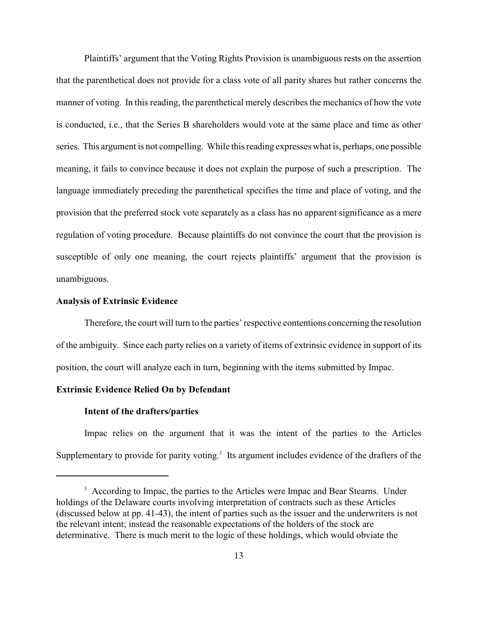Plaintiffs' argument that the Voting Rights Provision is unambiguous rests on the assertion that the parenthetical does not provide for a class vote of all parity shares but rather concerns the manner of voting. In this reading, the parenthetical merely describes the mechanics of how the vote is conducted, i.e., that the Series B shareholders would vote at the same place and time as other series. This argument is not compelling. While this reading expresses what is, perhaps, one possible meaning, it fails to convince because it does not explain the purpose of such a prescription. The language immediately preceding the parenthetical specifies the time and place of voting, and the provision that the preferred stock vote separately as a class has no apparent significance as a mere regulation of voting procedure. Because plaintiffs do not convince the court that the provision is susceptible of only one meaning, the court rejects plaintiffs' argument that the provision is unambiguous.

## **Analysis of Extrinsic Evidence**

Therefore, the court will turn to the parties' respective contentions concerning the resolution of the ambiguity. Since each party relies on a variety of items of extrinsic evidence in support of its position, the court will analyze each in turn, beginning with the items submitted by Impac.

## **Extrinsic Evidence Relied On by Defendant**

## **Intent of the drafters/parties**

Impac relies on the argument that it was the intent of the parties to the Articles Supplementary to provide for parity voting.<sup>3</sup> Its argument includes evidence of the drafters of the

<sup>&</sup>lt;sup>3</sup> According to Impac, the parties to the Articles were Impac and Bear Stearns. Under holdings of the Delaware courts involving interpretation of contracts such as these Articles (discussed below at pp. 41-43), the intent of parties such as the issuer and the underwriters is not the relevant intent; instead the reasonable expectations of the holders of the stock are determinative. There is much merit to the logic of these holdings, which would obviate the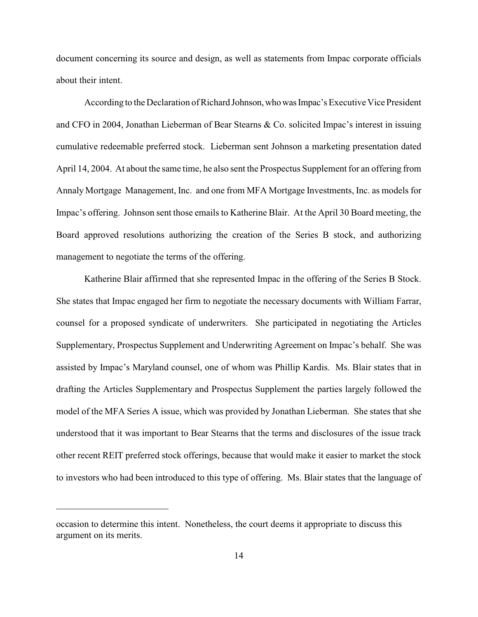document concerning its source and design, as well as statements from Impac corporate officials about their intent.

According to the Declaration of Richard Johnson, who was Impac's Executive Vice President and CFO in 2004, Jonathan Lieberman of Bear Stearns & Co. solicited Impac's interest in issuing cumulative redeemable preferred stock. Lieberman sent Johnson a marketing presentation dated April 14, 2004. At about the same time, he also sent the Prospectus Supplement for an offering from Annaly Mortgage Management, Inc. and one from MFA Mortgage Investments, Inc. as models for Impac's offering. Johnson sent those emails to Katherine Blair. At the April 30 Board meeting, the Board approved resolutions authorizing the creation of the Series B stock, and authorizing management to negotiate the terms of the offering.

Katherine Blair affirmed that she represented Impac in the offering of the Series B Stock. She states that Impac engaged her firm to negotiate the necessary documents with William Farrar, counsel for a proposed syndicate of underwriters. She participated in negotiating the Articles Supplementary, Prospectus Supplement and Underwriting Agreement on Impac's behalf. She was assisted by Impac's Maryland counsel, one of whom was Phillip Kardis. Ms. Blair states that in drafting the Articles Supplementary and Prospectus Supplement the parties largely followed the model of the MFA Series A issue, which was provided by Jonathan Lieberman. She states that she understood that it was important to Bear Stearns that the terms and disclosures of the issue track other recent REIT preferred stock offerings, because that would make it easier to market the stock to investors who had been introduced to this type of offering. Ms. Blair states that the language of

occasion to determine this intent. Nonetheless, the court deems it appropriate to discuss this argument on its merits.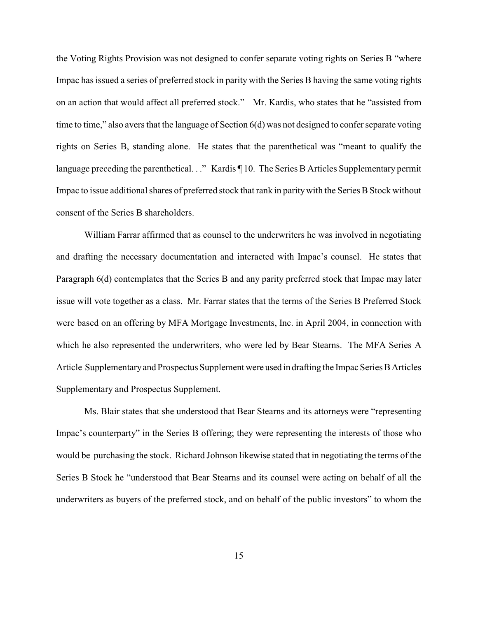the Voting Rights Provision was not designed to confer separate voting rights on Series B "where Impac has issued a series of preferred stock in parity with the Series B having the same voting rights on an action that would affect all preferred stock." Mr. Kardis, who states that he "assisted from time to time," also avers that the language of Section 6(d) was not designed to confer separate voting rights on Series B, standing alone. He states that the parenthetical was "meant to qualify the language preceding the parenthetical. . ." Kardis ¶ 10. The Series B Articles Supplementary permit Impac to issue additional shares of preferred stock that rank in paritywith the Series B Stock without consent of the Series B shareholders.

William Farrar affirmed that as counsel to the underwriters he was involved in negotiating and drafting the necessary documentation and interacted with Impac's counsel. He states that Paragraph 6(d) contemplates that the Series B and any parity preferred stock that Impac may later issue will vote together as a class. Mr. Farrar states that the terms of the Series B Preferred Stock were based on an offering by MFA Mortgage Investments, Inc. in April 2004, in connection with which he also represented the underwriters, who were led by Bear Stearns. The MFA Series A Article Supplementaryand Prospectus Supplement were used in drafting the Impac Series B Articles Supplementary and Prospectus Supplement.

Ms. Blair states that she understood that Bear Stearns and its attorneys were "representing Impac's counterparty" in the Series B offering; they were representing the interests of those who would be purchasing the stock. Richard Johnson likewise stated that in negotiating the terms of the Series B Stock he "understood that Bear Stearns and its counsel were acting on behalf of all the underwriters as buyers of the preferred stock, and on behalf of the public investors" to whom the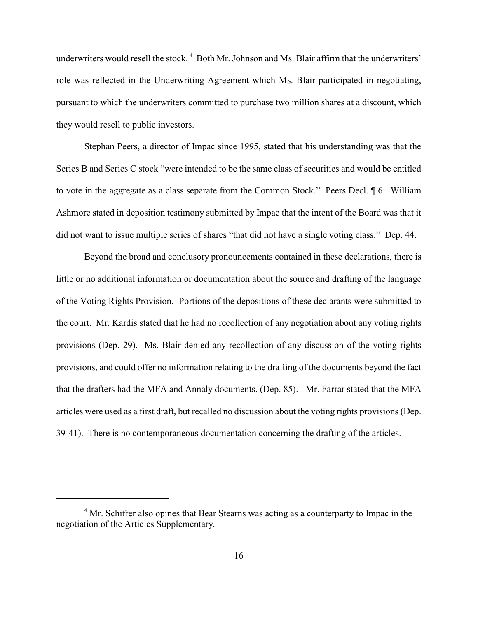underwriters would resell the stock.<sup>4</sup> Both Mr. Johnson and Ms. Blair affirm that the underwriters' role was reflected in the Underwriting Agreement which Ms. Blair participated in negotiating, pursuant to which the underwriters committed to purchase two million shares at a discount, which they would resell to public investors.

Stephan Peers, a director of Impac since 1995, stated that his understanding was that the Series B and Series C stock "were intended to be the same class of securities and would be entitled to vote in the aggregate as a class separate from the Common Stock." Peers Decl. ¶ 6. William Ashmore stated in deposition testimony submitted by Impac that the intent of the Board was that it did not want to issue multiple series of shares "that did not have a single voting class." Dep. 44.

Beyond the broad and conclusory pronouncements contained in these declarations, there is little or no additional information or documentation about the source and drafting of the language of the Voting Rights Provision. Portions of the depositions of these declarants were submitted to the court. Mr. Kardis stated that he had no recollection of any negotiation about any voting rights provisions (Dep. 29). Ms. Blair denied any recollection of any discussion of the voting rights provisions, and could offer no information relating to the drafting of the documents beyond the fact that the drafters had the MFA and Annaly documents. (Dep. 85). Mr. Farrar stated that the MFA articles were used as a first draft, but recalled no discussion about the voting rights provisions (Dep. 39-41). There is no contemporaneous documentation concerning the drafting of the articles.

<sup>&</sup>lt;sup>4</sup> Mr. Schiffer also opines that Bear Stearns was acting as a counterparty to Impac in the negotiation of the Articles Supplementary.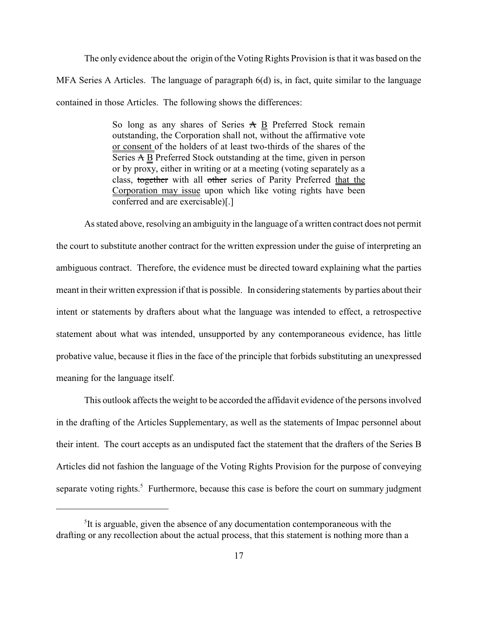The only evidence about the origin of the Voting Rights Provision is that it was based on the MFA Series A Articles. The language of paragraph 6(d) is, in fact, quite similar to the language contained in those Articles. The following shows the differences:

> So long as any shares of Series  $A \underline{B}$  Preferred Stock remain outstanding, the Corporation shall not, without the affirmative vote or consent of the holders of at least two-thirds of the shares of the Series A B Preferred Stock outstanding at the time, given in person or by proxy, either in writing or at a meeting (voting separately as a class, together with all other series of Parity Preferred that the Corporation may issue upon which like voting rights have been conferred and are exercisable)[.]

As stated above, resolving an ambiguity in the language of a written contract does not permit the court to substitute another contract for the written expression under the guise of interpreting an ambiguous contract. Therefore, the evidence must be directed toward explaining what the parties meant in their written expression if that is possible. In considering statements by parties about their intent or statements by drafters about what the language was intended to effect, a retrospective statement about what was intended, unsupported by any contemporaneous evidence, has little probative value, because it flies in the face of the principle that forbids substituting an unexpressed meaning for the language itself.

This outlook affects the weight to be accorded the affidavit evidence of the persons involved in the drafting of the Articles Supplementary, as well as the statements of Impac personnel about their intent. The court accepts as an undisputed fact the statement that the drafters of the Series B Articles did not fashion the language of the Voting Rights Provision for the purpose of conveying separate voting rights.<sup>5</sup> Furthermore, because this case is before the court on summary judgment

 ${}^{5}$ It is arguable, given the absence of any documentation contemporaneous with the drafting or any recollection about the actual process, that this statement is nothing more than a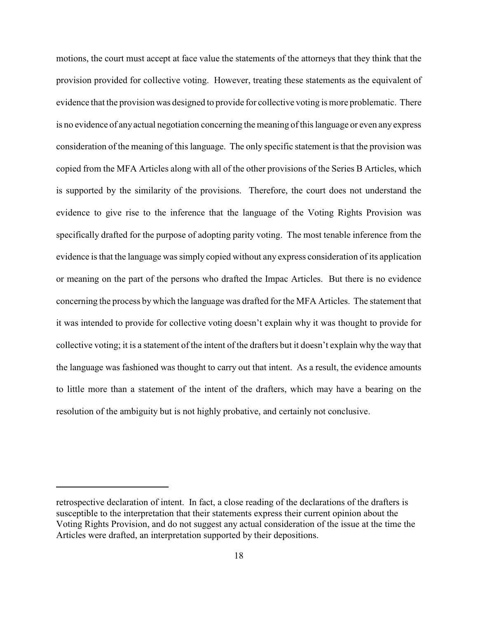motions, the court must accept at face value the statements of the attorneys that they think that the provision provided for collective voting. However, treating these statements as the equivalent of evidence that the provision was designed to provide for collective voting is more problematic. There is no evidence of anyactual negotiation concerning the meaning of this language or even any express consideration of the meaning of this language. The only specific statement is that the provision was copied from the MFA Articles along with all of the other provisions of the Series B Articles, which is supported by the similarity of the provisions. Therefore, the court does not understand the evidence to give rise to the inference that the language of the Voting Rights Provision was specifically drafted for the purpose of adopting parity voting. The most tenable inference from the evidence is that the language was simply copied without any express consideration of its application or meaning on the part of the persons who drafted the Impac Articles. But there is no evidence concerning the process by which the language was drafted for the MFA Articles. The statement that it was intended to provide for collective voting doesn't explain why it was thought to provide for collective voting; it is a statement of the intent of the drafters but it doesn't explain why the way that the language was fashioned was thought to carry out that intent. As a result, the evidence amounts to little more than a statement of the intent of the drafters, which may have a bearing on the resolution of the ambiguity but is not highly probative, and certainly not conclusive.

retrospective declaration of intent. In fact, a close reading of the declarations of the drafters is susceptible to the interpretation that their statements express their current opinion about the Voting Rights Provision, and do not suggest any actual consideration of the issue at the time the Articles were drafted, an interpretation supported by their depositions.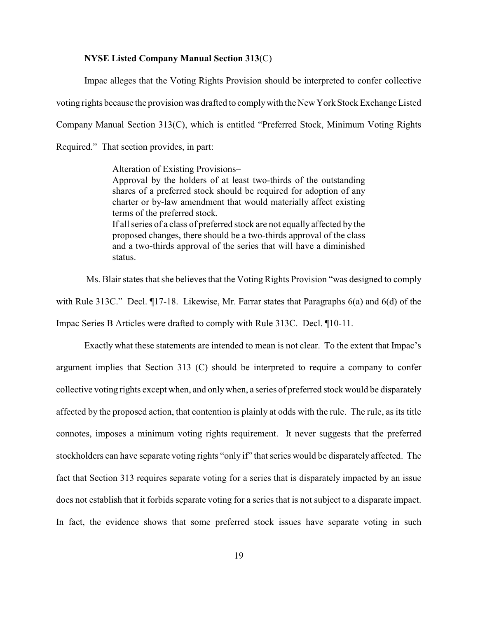## **NYSE Listed Company Manual Section 313**(C)

Impac alleges that the Voting Rights Provision should be interpreted to confer collective

voting rights because the provision was drafted to complywith the New York Stock Exchange Listed

Company Manual Section 313(C), which is entitled "Preferred Stock, Minimum Voting Rights

Required." That section provides, in part:

Alteration of Existing Provisions– Approval by the holders of at least two-thirds of the outstanding shares of a preferred stock should be required for adoption of any charter or by-law amendment that would materially affect existing terms of the preferred stock. If all series of a class of preferred stock are not equally affected by the proposed changes, there should be a two-thirds approval of the class and a two-thirds approval of the series that will have a diminished status.

Ms. Blair states that she believes that the Voting Rights Provision "was designed to comply with Rule 313C." Decl. ¶17-18. Likewise, Mr. Farrar states that Paragraphs 6(a) and 6(d) of the Impac Series B Articles were drafted to comply with Rule 313C. Decl. ¶10-11.

Exactly what these statements are intended to mean is not clear. To the extent that Impac's argument implies that Section 313 (C) should be interpreted to require a company to confer collective voting rights except when, and onlywhen, a series of preferred stock would be disparately affected by the proposed action, that contention is plainly at odds with the rule. The rule, as its title connotes, imposes a minimum voting rights requirement. It never suggests that the preferred stockholders can have separate voting rights "only if" that series would be disparately affected. The fact that Section 313 requires separate voting for a series that is disparately impacted by an issue does not establish that it forbids separate voting for a series that is not subject to a disparate impact. In fact, the evidence shows that some preferred stock issues have separate voting in such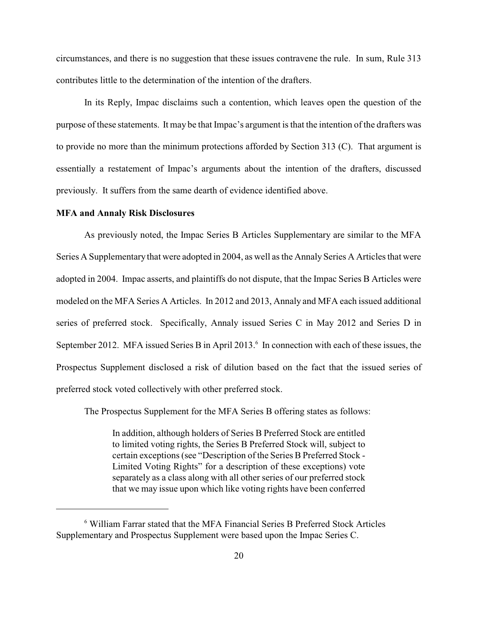circumstances, and there is no suggestion that these issues contravene the rule. In sum, Rule 313 contributes little to the determination of the intention of the drafters.

In its Reply, Impac disclaims such a contention, which leaves open the question of the purpose of these statements. It may be that Impac's argument is that the intention of the drafters was to provide no more than the minimum protections afforded by Section 313 (C). That argument is essentially a restatement of Impac's arguments about the intention of the drafters, discussed previously. It suffers from the same dearth of evidence identified above.

#### **MFA and Annaly Risk Disclosures**

As previously noted, the Impac Series B Articles Supplementary are similar to the MFA Series A Supplementary that were adopted in 2004, as well as the Annaly Series A Articles that were adopted in 2004. Impac asserts, and plaintiffs do not dispute, that the Impac Series B Articles were modeled on the MFA Series A Articles. In 2012 and 2013, Annaly and MFA each issued additional series of preferred stock. Specifically, Annaly issued Series C in May 2012 and Series D in September 2012. MFA issued Series B in April 2013.<sup>6</sup> In connection with each of these issues, the Prospectus Supplement disclosed a risk of dilution based on the fact that the issued series of preferred stock voted collectively with other preferred stock.

The Prospectus Supplement for the MFA Series B offering states as follows:

In addition, although holders of Series B Preferred Stock are entitled to limited voting rights, the Series B Preferred Stock will, subject to certain exceptions (see "Description of the Series B Preferred Stock - Limited Voting Rights" for a description of these exceptions) vote separately as a class along with all other series of our preferred stock that we may issue upon which like voting rights have been conferred

William Farrar stated that the MFA Financial Series B Preferred Stock Articles <sup>6</sup> Supplementary and Prospectus Supplement were based upon the Impac Series C.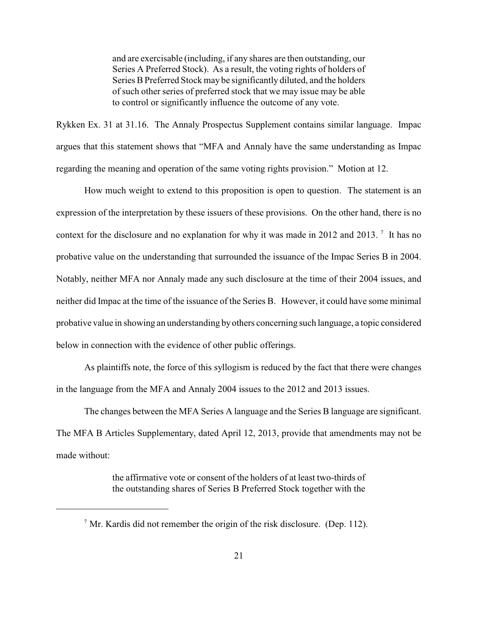and are exercisable (including, if any shares are then outstanding, our Series A Preferred Stock). As a result, the voting rights of holders of Series B Preferred Stock may be significantly diluted, and the holders of such other series of preferred stock that we may issue may be able to control or significantly influence the outcome of any vote.

Rykken Ex. 31 at 31.16. The Annaly Prospectus Supplement contains similar language. Impac argues that this statement shows that "MFA and Annaly have the same understanding as Impac regarding the meaning and operation of the same voting rights provision." Motion at 12.

How much weight to extend to this proposition is open to question. The statement is an expression of the interpretation by these issuers of these provisions. On the other hand, there is no context for the disclosure and no explanation for why it was made in 2012 and 2013. <sup>7</sup> It has no probative value on the understanding that surrounded the issuance of the Impac Series B in 2004. Notably, neither MFA nor Annaly made any such disclosure at the time of their 2004 issues, and neither did Impac at the time of the issuance of the Series B. However, it could have some minimal probative value in showing an understanding byothers concerning such language, a topic considered below in connection with the evidence of other public offerings.

As plaintiffs note, the force of this syllogism is reduced by the fact that there were changes in the language from the MFA and Annaly 2004 issues to the 2012 and 2013 issues.

The changes between the MFA Series A language and the Series B language are significant. The MFA B Articles Supplementary, dated April 12, 2013, provide that amendments may not be made without:

> the affirmative vote or consent of the holders of at least two-thirds of the outstanding shares of Series B Preferred Stock together with the

 $\frac{7}{1}$  Mr. Kardis did not remember the origin of the risk disclosure. (Dep. 112).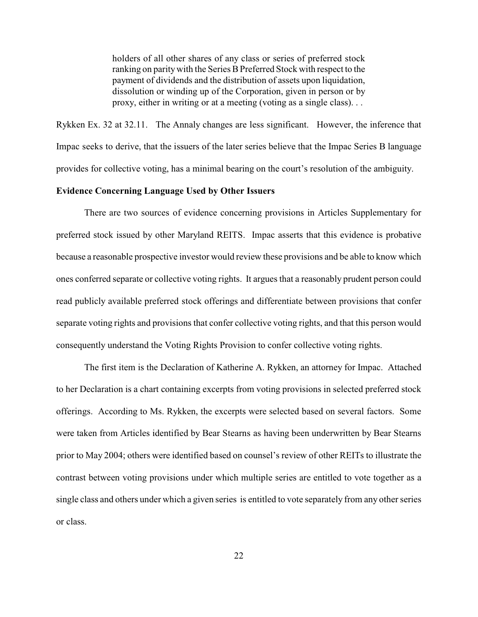holders of all other shares of any class or series of preferred stock ranking on paritywith the Series B Preferred Stock with respect to the payment of dividends and the distribution of assets upon liquidation, dissolution or winding up of the Corporation, given in person or by proxy, either in writing or at a meeting (voting as a single class). . .

Rykken Ex. 32 at 32.11. The Annaly changes are less significant. However, the inference that Impac seeks to derive, that the issuers of the later series believe that the Impac Series B language provides for collective voting, has a minimal bearing on the court's resolution of the ambiguity.

### **Evidence Concerning Language Used by Other Issuers**

There are two sources of evidence concerning provisions in Articles Supplementary for preferred stock issued by other Maryland REITS. Impac asserts that this evidence is probative because a reasonable prospective investor would review these provisions and be able to know which ones conferred separate or collective voting rights. It argues that a reasonably prudent person could read publicly available preferred stock offerings and differentiate between provisions that confer separate voting rights and provisions that confer collective voting rights, and that this person would consequently understand the Voting Rights Provision to confer collective voting rights.

The first item is the Declaration of Katherine A. Rykken, an attorney for Impac. Attached to her Declaration is a chart containing excerpts from voting provisions in selected preferred stock offerings. According to Ms. Rykken, the excerpts were selected based on several factors. Some were taken from Articles identified by Bear Stearns as having been underwritten by Bear Stearns prior to May 2004; others were identified based on counsel's review of other REITs to illustrate the contrast between voting provisions under which multiple series are entitled to vote together as a single class and others under which a given series is entitled to vote separately from any other series or class.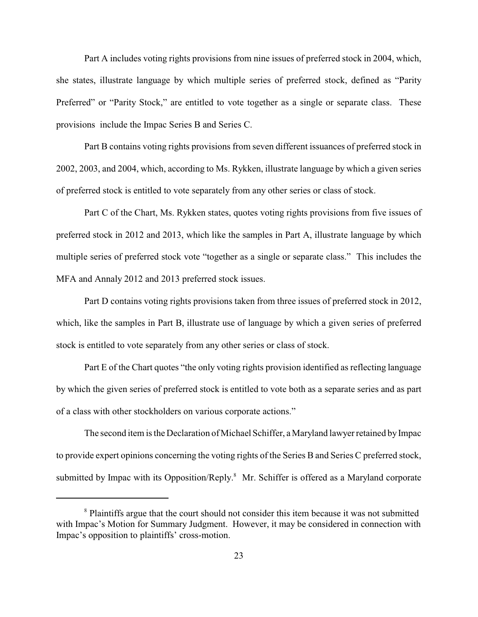Part A includes voting rights provisions from nine issues of preferred stock in 2004, which, she states, illustrate language by which multiple series of preferred stock, defined as "Parity Preferred" or "Parity Stock," are entitled to vote together as a single or separate class. These provisions include the Impac Series B and Series C.

Part B contains voting rights provisions from seven different issuances of preferred stock in 2002, 2003, and 2004, which, according to Ms. Rykken, illustrate language by which a given series of preferred stock is entitled to vote separately from any other series or class of stock.

Part C of the Chart, Ms. Rykken states, quotes voting rights provisions from five issues of preferred stock in 2012 and 2013, which like the samples in Part A, illustrate language by which multiple series of preferred stock vote "together as a single or separate class." This includes the MFA and Annaly 2012 and 2013 preferred stock issues.

Part D contains voting rights provisions taken from three issues of preferred stock in 2012, which, like the samples in Part B, illustrate use of language by which a given series of preferred stock is entitled to vote separately from any other series or class of stock.

Part E of the Chart quotes "the only voting rights provision identified as reflecting language by which the given series of preferred stock is entitled to vote both as a separate series and as part of a class with other stockholders on various corporate actions."

The second item is the Declaration of Michael Schiffer, a Maryland lawyer retained by Impac to provide expert opinions concerning the voting rights of the Series B and Series C preferred stock, submitted by Impac with its Opposition/Reply.<sup>8</sup> Mr. Schiffer is offered as a Maryland corporate

<sup>&</sup>lt;sup>8</sup> Plaintiffs argue that the court should not consider this item because it was not submitted with Impac's Motion for Summary Judgment. However, it may be considered in connection with Impac's opposition to plaintiffs' cross-motion.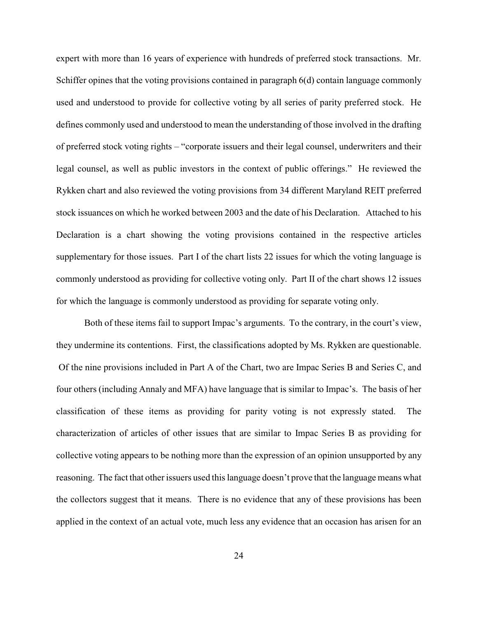expert with more than 16 years of experience with hundreds of preferred stock transactions. Mr. Schiffer opines that the voting provisions contained in paragraph 6(d) contain language commonly used and understood to provide for collective voting by all series of parity preferred stock. He defines commonly used and understood to mean the understanding of those involved in the drafting of preferred stock voting rights – "corporate issuers and their legal counsel, underwriters and their legal counsel, as well as public investors in the context of public offerings." He reviewed the Rykken chart and also reviewed the voting provisions from 34 different Maryland REIT preferred stock issuances on which he worked between 2003 and the date of his Declaration. Attached to his Declaration is a chart showing the voting provisions contained in the respective articles supplementary for those issues. Part I of the chart lists 22 issues for which the voting language is commonly understood as providing for collective voting only. Part II of the chart shows 12 issues for which the language is commonly understood as providing for separate voting only.

Both of these items fail to support Impac's arguments. To the contrary, in the court's view, they undermine its contentions. First, the classifications adopted by Ms. Rykken are questionable. Of the nine provisions included in Part A of the Chart, two are Impac Series B and Series C, and four others (including Annaly and MFA) have language that is similar to Impac's. The basis of her classification of these items as providing for parity voting is not expressly stated. The characterization of articles of other issues that are similar to Impac Series B as providing for collective voting appears to be nothing more than the expression of an opinion unsupported by any reasoning. The fact that other issuers used this language doesn't prove that the language means what the collectors suggest that it means. There is no evidence that any of these provisions has been applied in the context of an actual vote, much less any evidence that an occasion has arisen for an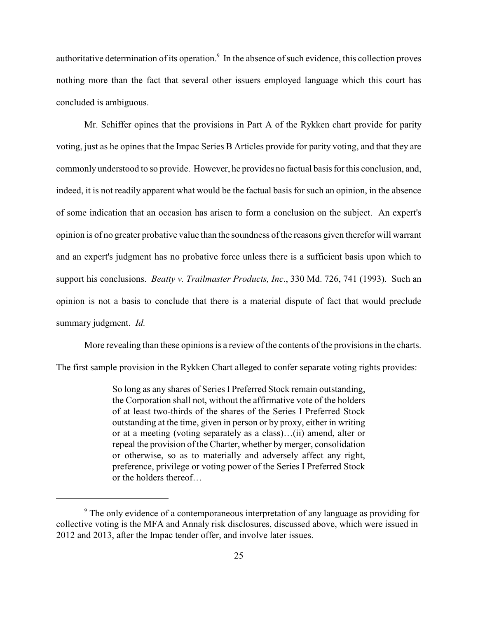authoritative determination of its operation.<sup>9</sup> In the absence of such evidence, this collection proves nothing more than the fact that several other issuers employed language which this court has concluded is ambiguous.

Mr. Schiffer opines that the provisions in Part A of the Rykken chart provide for parity voting, just as he opines that the Impac Series B Articles provide for parity voting, and that they are commonly understood to so provide. However, he provides no factual basis for this conclusion, and, indeed, it is not readily apparent what would be the factual basis for such an opinion, in the absence of some indication that an occasion has arisen to form a conclusion on the subject. An expert's opinion is of no greater probative value than the soundness of the reasons given therefor will warrant and an expert's judgment has no probative force unless there is a sufficient basis upon which to support his conclusions. *Beatty v. Trailmaster Products, Inc*., 330 Md. 726, 741 (1993). Such an opinion is not a basis to conclude that there is a material dispute of fact that would preclude summary judgment. *Id.*

More revealing than these opinions is a review of the contents of the provisions in the charts.

The first sample provision in the Rykken Chart alleged to confer separate voting rights provides:

So long as any shares of Series I Preferred Stock remain outstanding, the Corporation shall not, without the affirmative vote of the holders of at least two-thirds of the shares of the Series I Preferred Stock outstanding at the time, given in person or by proxy, either in writing or at a meeting (voting separately as a class)…(ii) amend, alter or repeal the provision of the Charter, whether by merger, consolidation or otherwise, so as to materially and adversely affect any right, preference, privilege or voting power of the Series I Preferred Stock or the holders thereof…

<sup>&</sup>lt;sup>9</sup> The only evidence of a contemporaneous interpretation of any language as providing for collective voting is the MFA and Annaly risk disclosures, discussed above, which were issued in 2012 and 2013, after the Impac tender offer, and involve later issues.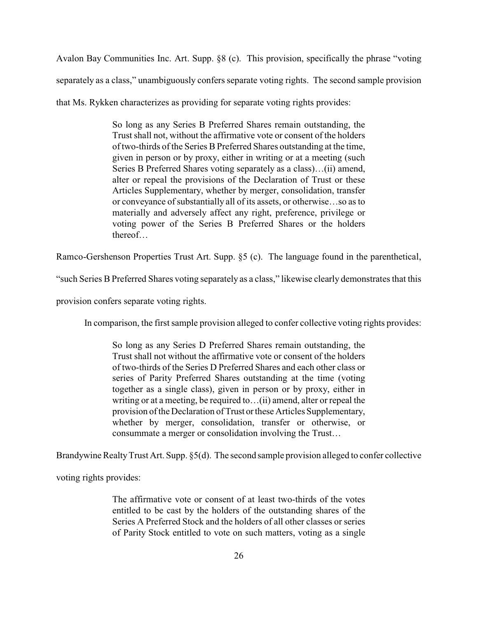Avalon Bay Communities Inc. Art. Supp. §8 (c). This provision, specifically the phrase "voting separately as a class," unambiguously confers separate voting rights. The second sample provision that Ms. Rykken characterizes as providing for separate voting rights provides:

> So long as any Series B Preferred Shares remain outstanding, the Trust shall not, without the affirmative vote or consent of the holders of two-thirds of the Series B Preferred Shares outstanding at the time, given in person or by proxy, either in writing or at a meeting (such Series B Preferred Shares voting separately as a class)…(ii) amend, alter or repeal the provisions of the Declaration of Trust or these Articles Supplementary, whether by merger, consolidation, transfer or conveyance of substantially all of its assets, or otherwise…so as to materially and adversely affect any right, preference, privilege or voting power of the Series B Preferred Shares or the holders thereof…

Ramco-Gershenson Properties Trust Art. Supp. §5 (c). The language found in the parenthetical,

"such Series B Preferred Shares voting separately as a class," likewise clearly demonstrates that this

provision confers separate voting rights.

In comparison, the first sample provision alleged to confer collective voting rights provides:

So long as any Series D Preferred Shares remain outstanding, the Trust shall not without the affirmative vote or consent of the holders of two-thirds of the Series D Preferred Shares and each other class or series of Parity Preferred Shares outstanding at the time (voting together as a single class), given in person or by proxy, either in writing or at a meeting, be required to…(ii) amend, alter or repeal the provision of the Declaration of Trust or these Articles Supplementary, whether by merger, consolidation, transfer or otherwise, or consummate a merger or consolidation involving the Trust…

Brandywine Realty Trust Art. Supp. §5(d). The second sample provision alleged to confer collective

voting rights provides:

The affirmative vote or consent of at least two-thirds of the votes entitled to be cast by the holders of the outstanding shares of the Series A Preferred Stock and the holders of all other classes or series of Parity Stock entitled to vote on such matters, voting as a single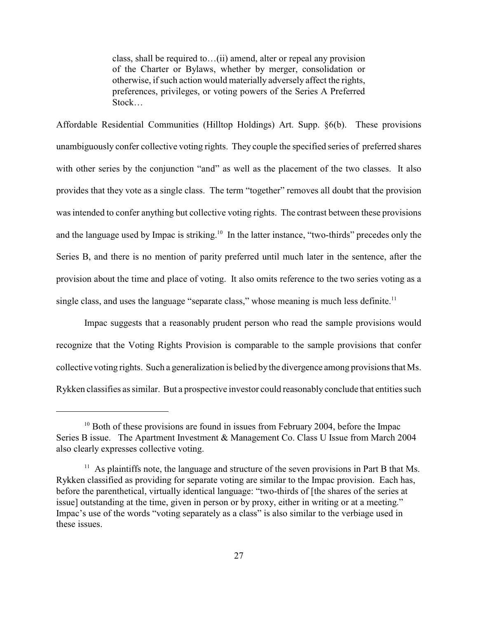class, shall be required to…(ii) amend, alter or repeal any provision of the Charter or Bylaws, whether by merger, consolidation or otherwise, if such action would materially adversely affect the rights, preferences, privileges, or voting powers of the Series A Preferred Stock…

Affordable Residential Communities (Hilltop Holdings) Art. Supp. §6(b). These provisions unambiguously confer collective voting rights. They couple the specified series of preferred shares with other series by the conjunction "and" as well as the placement of the two classes. It also provides that they vote as a single class. The term "together" removes all doubt that the provision was intended to confer anything but collective voting rights. The contrast between these provisions and the language used by Impac is striking.<sup>10</sup> In the latter instance, "two-thirds" precedes only the Series B, and there is no mention of parity preferred until much later in the sentence, after the provision about the time and place of voting. It also omits reference to the two series voting as a single class, and uses the language "separate class," whose meaning is much less definite.<sup>11</sup>

Impac suggests that a reasonably prudent person who read the sample provisions would recognize that the Voting Rights Provision is comparable to the sample provisions that confer collective voting rights. Such a generalization is belied bythe divergence among provisions that Ms. Rykken classifies as similar. But a prospective investor could reasonably conclude that entities such

 $^{10}$  Both of these provisions are found in issues from February 2004, before the Impac Series B issue. The Apartment Investment & Management Co. Class U Issue from March 2004 also clearly expresses collective voting.

 $11$  As plaintiffs note, the language and structure of the seven provisions in Part B that Ms. Rykken classified as providing for separate voting are similar to the Impac provision. Each has, before the parenthetical, virtually identical language: "two-thirds of [the shares of the series at issue] outstanding at the time, given in person or by proxy, either in writing or at a meeting." Impac's use of the words "voting separately as a class" is also similar to the verbiage used in these issues.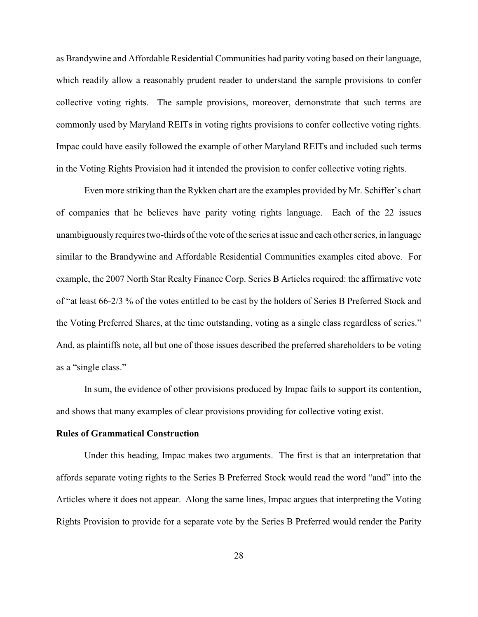as Brandywine and Affordable Residential Communities had parity voting based on their language, which readily allow a reasonably prudent reader to understand the sample provisions to confer collective voting rights. The sample provisions, moreover, demonstrate that such terms are commonly used by Maryland REITs in voting rights provisions to confer collective voting rights. Impac could have easily followed the example of other Maryland REITs and included such terms in the Voting Rights Provision had it intended the provision to confer collective voting rights.

Even more striking than the Rykken chart are the examples provided by Mr. Schiffer's chart of companies that he believes have parity voting rights language. Each of the 22 issues unambiguously requires two-thirds of the vote of the series at issue and each other series, in language similar to the Brandywine and Affordable Residential Communities examples cited above. For example, the 2007 North Star Realty Finance Corp. Series B Articles required: the affirmative vote of "at least 66-2/3 % of the votes entitled to be cast by the holders of Series B Preferred Stock and the Voting Preferred Shares, at the time outstanding, voting as a single class regardless of series." And, as plaintiffs note, all but one of those issues described the preferred shareholders to be voting as a "single class."

In sum, the evidence of other provisions produced by Impac fails to support its contention, and shows that many examples of clear provisions providing for collective voting exist.

## **Rules of Grammatical Construction**

Under this heading, Impac makes two arguments. The first is that an interpretation that affords separate voting rights to the Series B Preferred Stock would read the word "and" into the Articles where it does not appear. Along the same lines, Impac argues that interpreting the Voting Rights Provision to provide for a separate vote by the Series B Preferred would render the Parity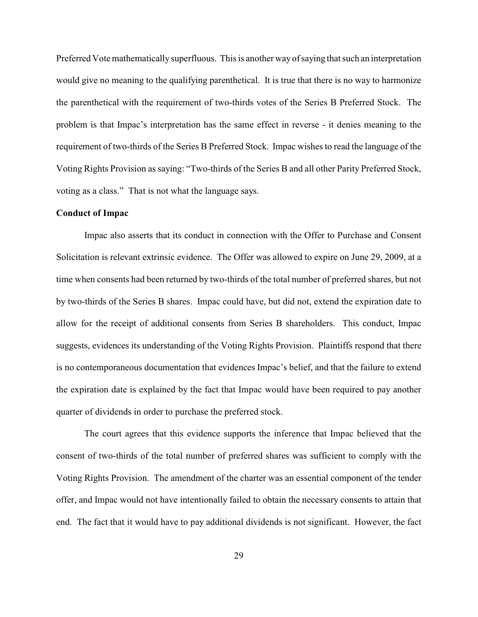Preferred Vote mathematically superfluous. This is another wayof saying that such an interpretation would give no meaning to the qualifying parenthetical. It is true that there is no way to harmonize the parenthetical with the requirement of two-thirds votes of the Series B Preferred Stock. The problem is that Impac's interpretation has the same effect in reverse - it denies meaning to the requirement of two-thirds of the Series B Preferred Stock. Impac wishes to read the language of the Voting Rights Provision as saying: "Two-thirds of the Series B and all other Parity Preferred Stock, voting as a class." That is not what the language says.

#### **Conduct of Impac**

Impac also asserts that its conduct in connection with the Offer to Purchase and Consent Solicitation is relevant extrinsic evidence. The Offer was allowed to expire on June 29, 2009, at a time when consents had been returned by two-thirds of the total number of preferred shares, but not by two-thirds of the Series B shares. Impac could have, but did not, extend the expiration date to allow for the receipt of additional consents from Series B shareholders. This conduct, Impac suggests, evidences its understanding of the Voting Rights Provision. Plaintiffs respond that there is no contemporaneous documentation that evidences Impac's belief, and that the failure to extend the expiration date is explained by the fact that Impac would have been required to pay another quarter of dividends in order to purchase the preferred stock.

The court agrees that this evidence supports the inference that Impac believed that the consent of two-thirds of the total number of preferred shares was sufficient to comply with the Voting Rights Provision. The amendment of the charter was an essential component of the tender offer, and Impac would not have intentionally failed to obtain the necessary consents to attain that end. The fact that it would have to pay additional dividends is not significant. However, the fact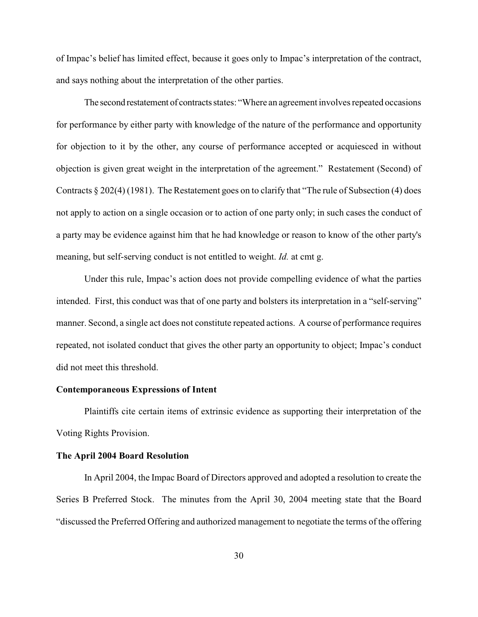of Impac's belief has limited effect, because it goes only to Impac's interpretation of the contract, and says nothing about the interpretation of the other parties.

The second restatement of contracts states: "Where an agreement involves repeated occasions for performance by either party with knowledge of the nature of the performance and opportunity for objection to it by the other, any course of performance accepted or acquiesced in without objection is given great weight in the interpretation of the agreement." Restatement (Second) of Contracts § 202(4) (1981). The Restatement goes on to clarify that "The rule of Subsection (4) does not apply to action on a single occasion or to action of one party only; in such cases the conduct of a party may be evidence against him that he had knowledge or reason to know of the other party's meaning, but self-serving conduct is not entitled to weight. *Id.* at cmt g.

Under this rule, Impac's action does not provide compelling evidence of what the parties intended. First, this conduct was that of one party and bolsters its interpretation in a "self-serving" manner. Second, a single act does not constitute repeated actions. A course of performance requires repeated, not isolated conduct that gives the other party an opportunity to object; Impac's conduct did not meet this threshold.

## **Contemporaneous Expressions of Intent**

Plaintiffs cite certain items of extrinsic evidence as supporting their interpretation of the Voting Rights Provision.

## **The April 2004 Board Resolution**

In April 2004, the Impac Board of Directors approved and adopted a resolution to create the Series B Preferred Stock. The minutes from the April 30, 2004 meeting state that the Board "discussed the Preferred Offering and authorized management to negotiate the terms of the offering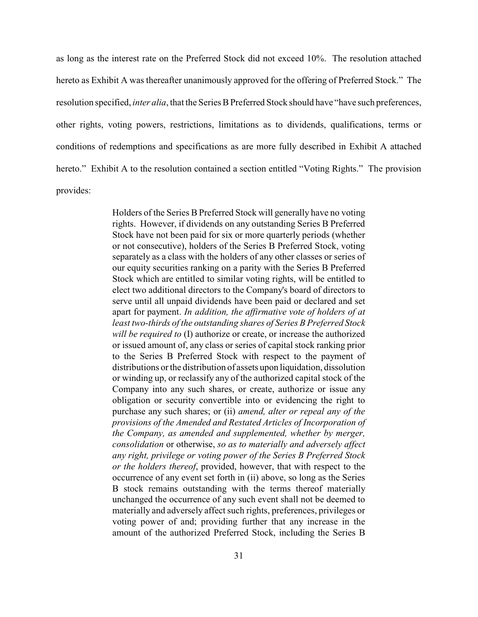as long as the interest rate on the Preferred Stock did not exceed 10%. The resolution attached hereto as Exhibit A was thereafter unanimously approved for the offering of Preferred Stock." The resolution specified, *inter alia*, that the Series B Preferred Stock should have "have such preferences, other rights, voting powers, restrictions, limitations as to dividends, qualifications, terms or conditions of redemptions and specifications as are more fully described in Exhibit A attached hereto." Exhibit A to the resolution contained a section entitled "Voting Rights." The provision provides:

> Holders of the Series B Preferred Stock will generally have no voting rights. However, if dividends on any outstanding Series B Preferred Stock have not been paid for six or more quarterly periods (whether or not consecutive), holders of the Series B Preferred Stock, voting separately as a class with the holders of any other classes or series of our equity securities ranking on a parity with the Series B Preferred Stock which are entitled to similar voting rights, will be entitled to elect two additional directors to the Company's board of directors to serve until all unpaid dividends have been paid or declared and set apart for payment. *In addition, the affirmative vote of holders of at least two-thirds of the outstanding shares of Series B Preferred Stock will be required to* (I) authorize or create, or increase the authorized or issued amount of, any class or series of capital stock ranking prior to the Series B Preferred Stock with respect to the payment of distributions or the distribution of assets upon liquidation, dissolution or winding up, or reclassify any of the authorized capital stock of the Company into any such shares, or create, authorize or issue any obligation or security convertible into or evidencing the right to purchase any such shares; or (ii) *amend, alter or repeal any of the provisions of the Amended and Restated Articles of Incorporation of the Company, as amended and supplemented, whether by merger, consolidation* or otherwise, *so as to materially and adversely affect any right, privilege or voting power of the Series B Preferred Stock or the holders thereof*, provided, however, that with respect to the occurrence of any event set forth in (ii) above, so long as the Series B stock remains outstanding with the terms thereof materially unchanged the occurrence of any such event shall not be deemed to materially and adversely affect such rights, preferences, privileges or voting power of and; providing further that any increase in the amount of the authorized Preferred Stock, including the Series B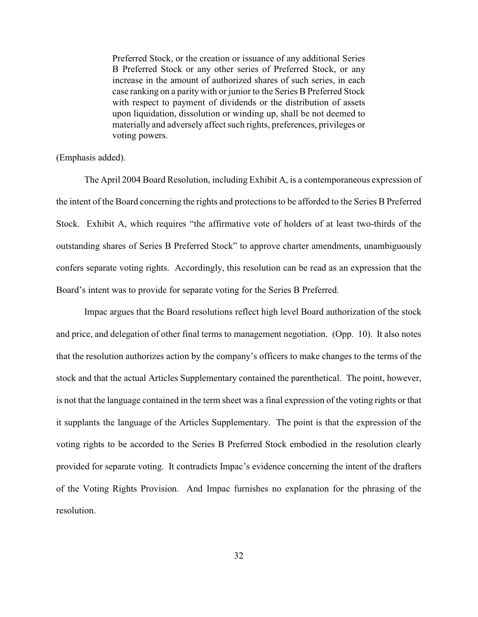Preferred Stock, or the creation or issuance of any additional Series B Preferred Stock or any other series of Preferred Stock, or any increase in the amount of authorized shares of such series, in each case ranking on a parity with or junior to the Series B Preferred Stock with respect to payment of dividends or the distribution of assets upon liquidation, dissolution or winding up, shall be not deemed to materially and adversely affect such rights, preferences, privileges or voting powers.

(Emphasis added).

The April 2004 Board Resolution, including Exhibit A, is a contemporaneous expression of the intent of the Board concerning the rights and protections to be afforded to the Series B Preferred Stock. Exhibit A, which requires "the affirmative vote of holders of at least two-thirds of the outstanding shares of Series B Preferred Stock" to approve charter amendments, unambiguously confers separate voting rights. Accordingly, this resolution can be read as an expression that the Board's intent was to provide for separate voting for the Series B Preferred.

Impac argues that the Board resolutions reflect high level Board authorization of the stock and price, and delegation of other final terms to management negotiation. (Opp. 10). It also notes that the resolution authorizes action by the company's officers to make changes to the terms of the stock and that the actual Articles Supplementary contained the parenthetical. The point, however, is not that the language contained in the term sheet was a final expression of the voting rights or that it supplants the language of the Articles Supplementary. The point is that the expression of the voting rights to be accorded to the Series B Preferred Stock embodied in the resolution clearly provided for separate voting. It contradicts Impac's evidence concerning the intent of the drafters of the Voting Rights Provision. And Impac furnishes no explanation for the phrasing of the resolution.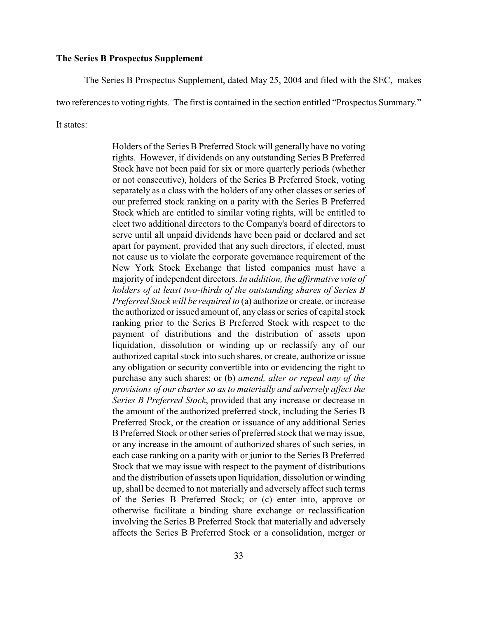### **The Series B Prospectus Supplement**

The Series B Prospectus Supplement, dated May 25, 2004 and filed with the SEC, makes

two references to voting rights. The first is contained in the section entitled "Prospectus Summary."

It states:

Holders of the Series B Preferred Stock will generally have no voting rights. However, if dividends on any outstanding Series B Preferred Stock have not been paid for six or more quarterly periods (whether or not consecutive), holders of the Series B Preferred Stock, voting separately as a class with the holders of any other classes or series of our preferred stock ranking on a parity with the Series B Preferred Stock which are entitled to similar voting rights, will be entitled to elect two additional directors to the Company's board of directors to serve until all unpaid dividends have been paid or declared and set apart for payment, provided that any such directors, if elected, must not cause us to violate the corporate governance requirement of the New York Stock Exchange that listed companies must have a majority of independent directors. *In addition, the affirmative vote of holders of at least two-thirds of the outstanding shares of Series B Preferred Stock will be required to* (a) authorize or create, or increase the authorized or issued amount of, any class or series of capital stock ranking prior to the Series B Preferred Stock with respect to the payment of distributions and the distribution of assets upon liquidation, dissolution or winding up or reclassify any of our authorized capital stock into such shares, or create, authorize or issue any obligation or security convertible into or evidencing the right to purchase any such shares; or (b) *amend, alter or repeal any of the provisions of our charter so as to materially and adversely affect the Series B Preferred Stock*, provided that any increase or decrease in the amount of the authorized preferred stock, including the Series B Preferred Stock, or the creation or issuance of any additional Series B Preferred Stock or other series of preferred stock that we may issue, or any increase in the amount of authorized shares of such series, in each case ranking on a parity with or junior to the Series B Preferred Stock that we may issue with respect to the payment of distributions and the distribution of assets upon liquidation, dissolution or winding up, shall be deemed to not materially and adversely affect such terms of the Series B Preferred Stock; or (c) enter into, approve or otherwise facilitate a binding share exchange or reclassification involving the Series B Preferred Stock that materially and adversely affects the Series B Preferred Stock or a consolidation, merger or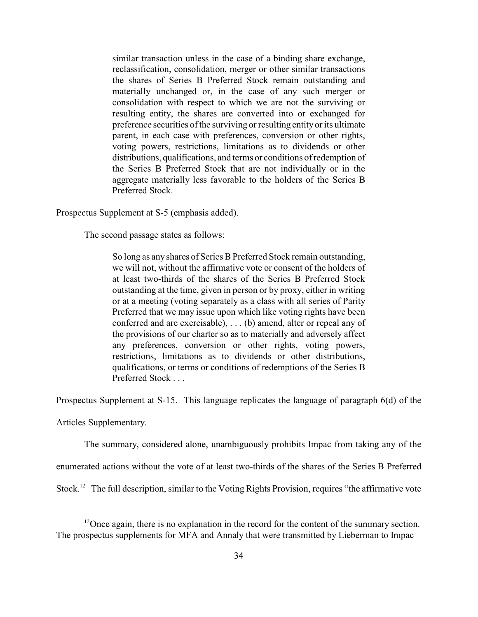similar transaction unless in the case of a binding share exchange, reclassification, consolidation, merger or other similar transactions the shares of Series B Preferred Stock remain outstanding and materially unchanged or, in the case of any such merger or consolidation with respect to which we are not the surviving or resulting entity, the shares are converted into or exchanged for preference securities of the surviving or resulting entity or its ultimate parent, in each case with preferences, conversion or other rights, voting powers, restrictions, limitations as to dividends or other distributions, qualifications, and terms or conditions of redemption of the Series B Preferred Stock that are not individually or in the aggregate materially less favorable to the holders of the Series B Preferred Stock.

Prospectus Supplement at S-5 (emphasis added).

The second passage states as follows:

So long as any shares of Series B Preferred Stock remain outstanding, we will not, without the affirmative vote or consent of the holders of at least two-thirds of the shares of the Series B Preferred Stock outstanding at the time, given in person or by proxy, either in writing or at a meeting (voting separately as a class with all series of Parity Preferred that we may issue upon which like voting rights have been conferred and are exercisable), . . . (b) amend, alter or repeal any of the provisions of our charter so as to materially and adversely affect any preferences, conversion or other rights, voting powers, restrictions, limitations as to dividends or other distributions, qualifications, or terms or conditions of redemptions of the Series B Preferred Stock . . .

Prospectus Supplement at S-15. This language replicates the language of paragraph 6(d) of the

Articles Supplementary.

The summary, considered alone, unambiguously prohibits Impac from taking any of the

enumerated actions without the vote of at least two-thirds of the shares of the Series B Preferred

Stock.<sup>12</sup> The full description, similar to the Voting Rights Provision, requires "the affirmative vote

 $^{12}$ Once again, there is no explanation in the record for the content of the summary section. The prospectus supplements for MFA and Annaly that were transmitted by Lieberman to Impac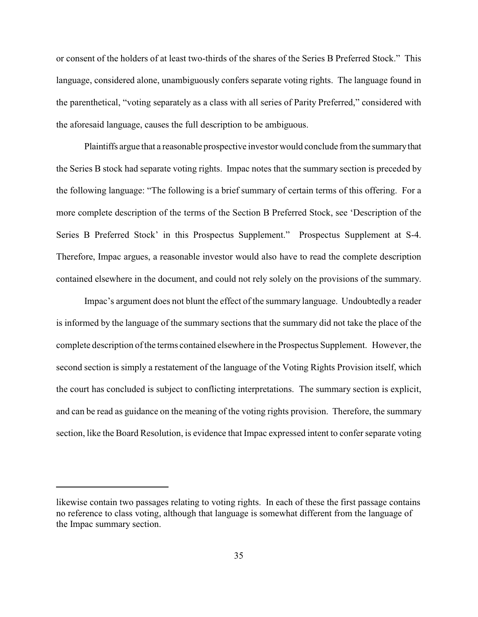or consent of the holders of at least two-thirds of the shares of the Series B Preferred Stock." This language, considered alone, unambiguously confers separate voting rights. The language found in the parenthetical, "voting separately as a class with all series of Parity Preferred," considered with the aforesaid language, causes the full description to be ambiguous.

Plaintiffs argue that a reasonable prospective investor would conclude from the summarythat the Series B stock had separate voting rights. Impac notes that the summary section is preceded by the following language: "The following is a brief summary of certain terms of this offering. For a more complete description of the terms of the Section B Preferred Stock, see 'Description of the Series B Preferred Stock' in this Prospectus Supplement." Prospectus Supplement at S-4. Therefore, Impac argues, a reasonable investor would also have to read the complete description contained elsewhere in the document, and could not rely solely on the provisions of the summary.

Impac's argument does not blunt the effect of the summary language. Undoubtedly a reader is informed by the language of the summary sections that the summary did not take the place of the complete description of the terms contained elsewhere in the Prospectus Supplement. However, the second section is simply a restatement of the language of the Voting Rights Provision itself, which the court has concluded is subject to conflicting interpretations. The summary section is explicit, and can be read as guidance on the meaning of the voting rights provision. Therefore, the summary section, like the Board Resolution, is evidence that Impac expressed intent to confer separate voting

likewise contain two passages relating to voting rights. In each of these the first passage contains no reference to class voting, although that language is somewhat different from the language of the Impac summary section.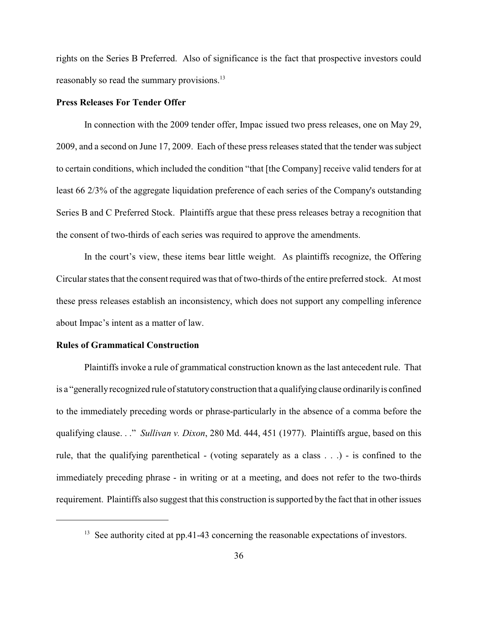rights on the Series B Preferred. Also of significance is the fact that prospective investors could reasonably so read the summary provisions.<sup>13</sup>

## **Press Releases For Tender Offer**

In connection with the 2009 tender offer, Impac issued two press releases, one on May 29, 2009, and a second on June 17, 2009. Each of these press releases stated that the tender was subject to certain conditions, which included the condition "that [the Company] receive valid tenders for at least 66 2/3% of the aggregate liquidation preference of each series of the Company's outstanding Series B and C Preferred Stock. Plaintiffs argue that these press releases betray a recognition that the consent of two-thirds of each series was required to approve the amendments.

In the court's view, these items bear little weight. As plaintiffs recognize, the Offering Circular states that the consent required was that of two-thirds of the entire preferred stock. At most these press releases establish an inconsistency, which does not support any compelling inference about Impac's intent as a matter of law.

### **Rules of Grammatical Construction**

Plaintiffs invoke a rule of grammatical construction known as the last antecedent rule. That is a "generallyrecognized rule of statutoryconstruction that a qualifying clause ordinarilyis confined to the immediately preceding words or phrase-particularly in the absence of a comma before the qualifying clause. . ." *Sullivan v. Dixon*, 280 Md. 444, 451 (1977). Plaintiffs argue, based on this rule, that the qualifying parenthetical - (voting separately as a class . . .) - is confined to the immediately preceding phrase - in writing or at a meeting, and does not refer to the two-thirds requirement. Plaintiffs also suggest that this construction is supported by the fact that in other issues

 $13$  See authority cited at pp.41-43 concerning the reasonable expectations of investors.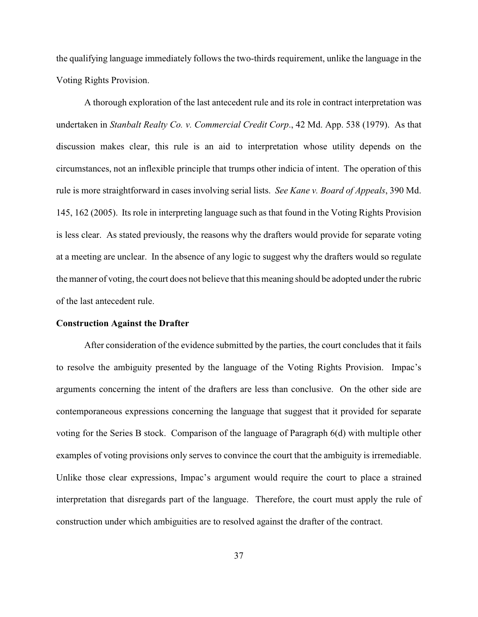the qualifying language immediately follows the two-thirds requirement, unlike the language in the Voting Rights Provision.

A thorough exploration of the last antecedent rule and its role in contract interpretation was undertaken in *Stanbalt Realty Co. v. Commercial Credit Corp*., 42 Md. App. 538 (1979). As that discussion makes clear, this rule is an aid to interpretation whose utility depends on the circumstances, not an inflexible principle that trumps other indicia of intent. The operation of this rule is more straightforward in cases involving serial lists. *See Kane v. Board of Appeals*, 390 Md. 145, 162 (2005). Its role in interpreting language such as that found in the Voting Rights Provision is less clear. As stated previously, the reasons why the drafters would provide for separate voting at a meeting are unclear. In the absence of any logic to suggest why the drafters would so regulate the manner of voting, the court does not believe that this meaning should be adopted under the rubric of the last antecedent rule.

#### **Construction Against the Drafter**

After consideration of the evidence submitted by the parties, the court concludes that it fails to resolve the ambiguity presented by the language of the Voting Rights Provision. Impac's arguments concerning the intent of the drafters are less than conclusive. On the other side are contemporaneous expressions concerning the language that suggest that it provided for separate voting for the Series B stock. Comparison of the language of Paragraph 6(d) with multiple other examples of voting provisions only serves to convince the court that the ambiguity is irremediable. Unlike those clear expressions, Impac's argument would require the court to place a strained interpretation that disregards part of the language. Therefore, the court must apply the rule of construction under which ambiguities are to resolved against the drafter of the contract.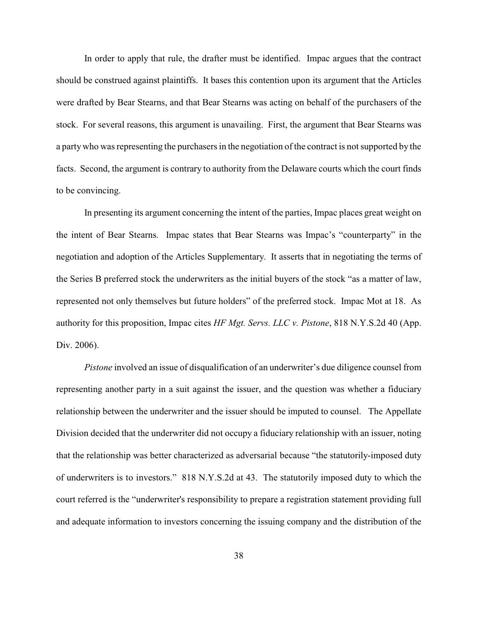In order to apply that rule, the drafter must be identified. Impac argues that the contract should be construed against plaintiffs. It bases this contention upon its argument that the Articles were drafted by Bear Stearns, and that Bear Stearns was acting on behalf of the purchasers of the stock. For several reasons, this argument is unavailing. First, the argument that Bear Stearns was a partywho was representing the purchasers in the negotiation of the contract is not supported by the facts. Second, the argument is contrary to authority from the Delaware courts which the court finds to be convincing.

In presenting its argument concerning the intent of the parties, Impac places great weight on the intent of Bear Stearns. Impac states that Bear Stearns was Impac's "counterparty" in the negotiation and adoption of the Articles Supplementary. It asserts that in negotiating the terms of the Series B preferred stock the underwriters as the initial buyers of the stock "as a matter of law, represented not only themselves but future holders" of the preferred stock. Impac Mot at 18. As authority for this proposition, Impac cites *HF Mgt. Servs. LLC v. Pistone*, 818 N.Y.S.2d 40 (App. Div. 2006).

*Pistone* involved an issue of disqualification of an underwriter's due diligence counsel from representing another party in a suit against the issuer, and the question was whether a fiduciary relationship between the underwriter and the issuer should be imputed to counsel. The Appellate Division decided that the underwriter did not occupy a fiduciary relationship with an issuer, noting that the relationship was better characterized as adversarial because "the statutorily-imposed duty of underwriters is to investors." 818 N.Y.S.2d at 43. The statutorily imposed duty to which the court referred is the "underwriter's responsibility to prepare a registration statement providing full and adequate information to investors concerning the issuing company and the distribution of the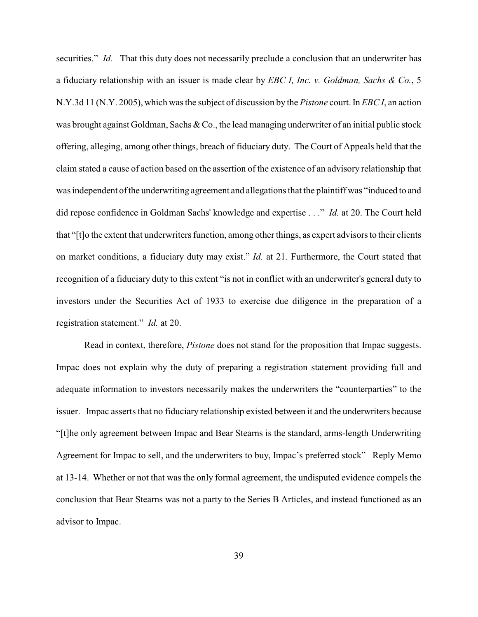securities." *Id.* That this duty does not necessarily preclude a conclusion that an underwriter has a fiduciary relationship with an issuer is made clear by *EBC I, Inc. v. Goldman, Sachs & Co.*, 5 N.Y.3d 11 (N.Y. 2005), which was the subject of discussion by the *Pistone* court. In *EBC I*, an action was brought against Goldman, Sachs & Co., the lead managing underwriter of an initial public stock offering, alleging, among other things, breach of fiduciary duty. The Court of Appeals held that the claim stated a cause of action based on the assertion of the existence of an advisory relationship that was independent of the underwriting agreement and allegations that the plaintiff was "induced to and did repose confidence in Goldman Sachs' knowledge and expertise . . ." *Id.* at 20. The Court held that "[t]o the extent that underwriters function, among other things, as expert advisors to their clients on market conditions, a fiduciary duty may exist." *Id.* at 21. Furthermore, the Court stated that recognition of a fiduciary duty to this extent "is not in conflict with an underwriter's general duty to investors under the Securities Act of 1933 to exercise due diligence in the preparation of a registration statement." *Id.* at 20.

Read in context, therefore, *Pistone* does not stand for the proposition that Impac suggests. Impac does not explain why the duty of preparing a registration statement providing full and adequate information to investors necessarily makes the underwriters the "counterparties" to the issuer. Impac asserts that no fiduciary relationship existed between it and the underwriters because "[t]he only agreement between Impac and Bear Stearns is the standard, arms-length Underwriting Agreement for Impac to sell, and the underwriters to buy, Impac's preferred stock" Reply Memo at 13-14. Whether or not that was the only formal agreement, the undisputed evidence compels the conclusion that Bear Stearns was not a party to the Series B Articles, and instead functioned as an advisor to Impac.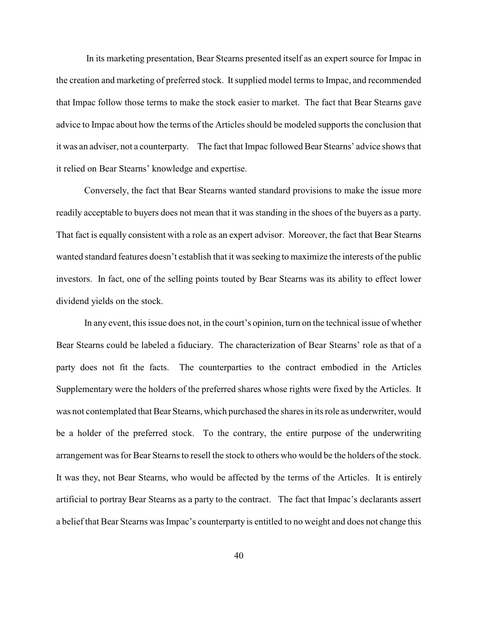In its marketing presentation, Bear Stearns presented itself as an expert source for Impac in the creation and marketing of preferred stock. It supplied model terms to Impac, and recommended that Impac follow those terms to make the stock easier to market. The fact that Bear Stearns gave advice to Impac about how the terms of the Articles should be modeled supports the conclusion that it was an adviser, not a counterparty. The fact that Impac followed Bear Stearns' advice shows that it relied on Bear Stearns' knowledge and expertise.

Conversely, the fact that Bear Stearns wanted standard provisions to make the issue more readily acceptable to buyers does not mean that it was standing in the shoes of the buyers as a party. That fact is equally consistent with a role as an expert advisor. Moreover, the fact that Bear Stearns wanted standard features doesn't establish that it was seeking to maximize the interests of the public investors. In fact, one of the selling points touted by Bear Stearns was its ability to effect lower dividend yields on the stock.

In any event, this issue does not, in the court's opinion, turn on the technical issue of whether Bear Stearns could be labeled a fiduciary. The characterization of Bear Stearns' role as that of a party does not fit the facts. The counterparties to the contract embodied in the Articles Supplementary were the holders of the preferred shares whose rights were fixed by the Articles. It was not contemplated that Bear Stearns, which purchased the shares in its role as underwriter, would be a holder of the preferred stock. To the contrary, the entire purpose of the underwriting arrangement was for Bear Stearns to resell the stock to others who would be the holders of the stock. It was they, not Bear Stearns, who would be affected by the terms of the Articles. It is entirely artificial to portray Bear Stearns as a party to the contract. The fact that Impac's declarants assert a belief that Bear Stearns was Impac's counterparty is entitled to no weight and does not change this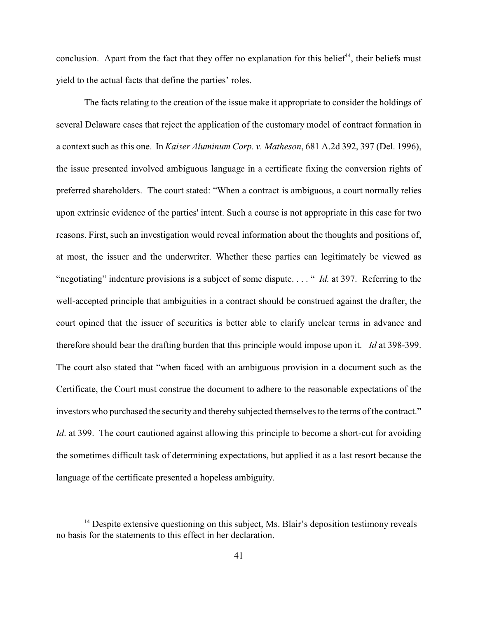conclusion. Apart from the fact that they offer no explanation for this belief<sup>14</sup>, their beliefs must yield to the actual facts that define the parties' roles.

The facts relating to the creation of the issue make it appropriate to consider the holdings of several Delaware cases that reject the application of the customary model of contract formation in a context such as this one. In *Kaiser Aluminum Corp. v. Matheson*, 681 A.2d 392, 397 (Del. 1996), the issue presented involved ambiguous language in a certificate fixing the conversion rights of preferred shareholders. The court stated: "When a contract is ambiguous, a court normally relies upon extrinsic evidence of the parties' intent. Such a course is not appropriate in this case for two reasons. First, such an investigation would reveal information about the thoughts and positions of, at most, the issuer and the underwriter. Whether these parties can legitimately be viewed as "negotiating" indenture provisions is a subject of some dispute. . . . " *Id.* at 397. Referring to the well-accepted principle that ambiguities in a contract should be construed against the drafter, the court opined that the issuer of securities is better able to clarify unclear terms in advance and therefore should bear the drafting burden that this principle would impose upon it. *Id* at 398-399. The court also stated that "when faced with an ambiguous provision in a document such as the Certificate, the Court must construe the document to adhere to the reasonable expectations of the investors who purchased the security and thereby subjected themselves to the terms of the contract." *Id.* at 399. The court cautioned against allowing this principle to become a short-cut for avoiding the sometimes difficult task of determining expectations, but applied it as a last resort because the language of the certificate presented a hopeless ambiguity.

 $14$  Despite extensive questioning on this subject, Ms. Blair's deposition testimony reveals no basis for the statements to this effect in her declaration.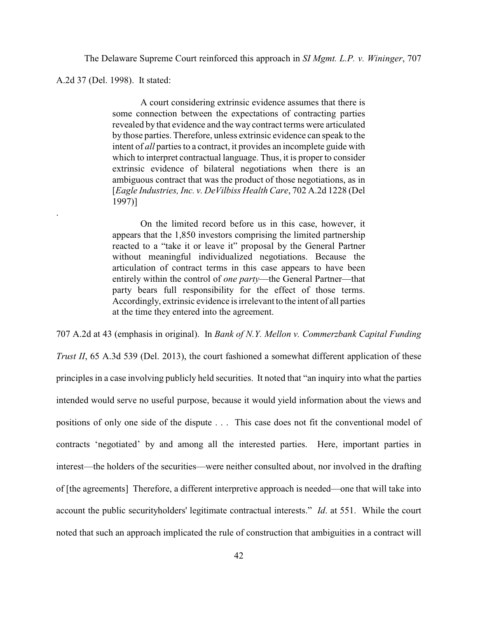The Delaware Supreme Court reinforced this approach in *SI Mgmt. L.P. v. Wininger*, 707

A.2d 37 (Del. 1998). It stated:

.

A court considering extrinsic evidence assumes that there is some connection between the expectations of contracting parties revealed by that evidence and the way contract terms were articulated by those parties. Therefore, unless extrinsic evidence can speak to the intent of *all* parties to a contract, it provides an incomplete guide with which to interpret contractual language. Thus, it is proper to consider extrinsic evidence of bilateral negotiations when there is an ambiguous contract that was the product of those negotiations, as in [*Eagle Industries, Inc. v. DeVilbiss Health Care*, 702 A.2d 1228 (Del 1997)]

On the limited record before us in this case, however, it appears that the 1,850 investors comprising the limited partnership reacted to a "take it or leave it" proposal by the General Partner without meaningful individualized negotiations. Because the articulation of contract terms in this case appears to have been entirely within the control of *one party*—the General Partner—that party bears full responsibility for the effect of those terms. Accordingly, extrinsic evidence is irrelevant to the intent of all parties at the time they entered into the agreement.

707 A.2d at 43 (emphasis in original). In *Bank of N.Y. Mellon v. Commerzbank Capital Funding*

*Trust II*, 65 A.3d 539 (Del. 2013), the court fashioned a somewhat different application of these principles in a case involving publicly held securities. It noted that "an inquiry into what the parties intended would serve no useful purpose, because it would yield information about the views and positions of only one side of the dispute . . . This case does not fit the conventional model of contracts 'negotiated' by and among all the interested parties. Here, important parties in interest—the holders of the securities—were neither consulted about, nor involved in the drafting of [the agreements] Therefore, a different interpretive approach is needed—one that will take into account the public securityholders' legitimate contractual interests." *Id*. at 551. While the court noted that such an approach implicated the rule of construction that ambiguities in a contract will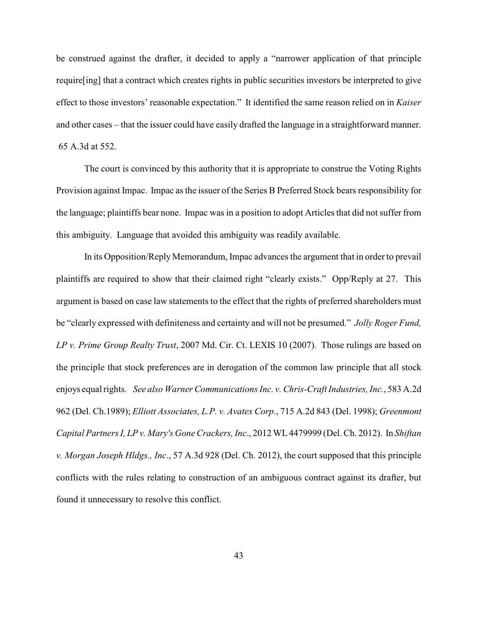be construed against the drafter, it decided to apply a "narrower application of that principle require[ing] that a contract which creates rights in public securities investors be interpreted to give effect to those investors' reasonable expectation." It identified the same reason relied on in *Kaiser* and other cases – that the issuer could have easily drafted the language in a straightforward manner. 65 A.3d at 552.

The court is convinced by this authority that it is appropriate to construe the Voting Rights Provision against Impac. Impac as the issuer of the Series B Preferred Stock bears responsibility for the language; plaintiffs bear none. Impac was in a position to adopt Articles that did not suffer from this ambiguity. Language that avoided this ambiguity was readily available.

In its Opposition/Reply Memorandum, Impac advances the argument that in order to prevail plaintiffs are required to show that their claimed right "clearly exists." Opp/Reply at 27. This argument is based on case law statements to the effect that the rights of preferred shareholders must be "clearly expressed with definiteness and certainty and will not be presumed." *Jolly Roger Fund, LP v. Prime Group Realty Trust*, 2007 Md. Cir. Ct. LEXIS 10 (2007). Those rulings are based on the principle that stock preferences are in derogation of the common law principle that all stock enjoys equal rights*. See also Warner Communications Inc. v. Chris-Craft Industries, Inc.*, 583 A.2d 962 (Del. Ch.1989); *Elliott Associates, L.P. v. Avatex Corp*., 715 A.2d 843 (Del. 1998); *Greenmont Capital Partners I, LP v. Mary's Gone Crackers, Inc*., 2012 WL4479999 (Del. Ch. 2012). In *Shiftan v. Morgan Joseph Hldgs., Inc*., 57 A.3d 928 (Del. Ch. 2012), the court supposed that this principle conflicts with the rules relating to construction of an ambiguous contract against its drafter, but found it unnecessary to resolve this conflict.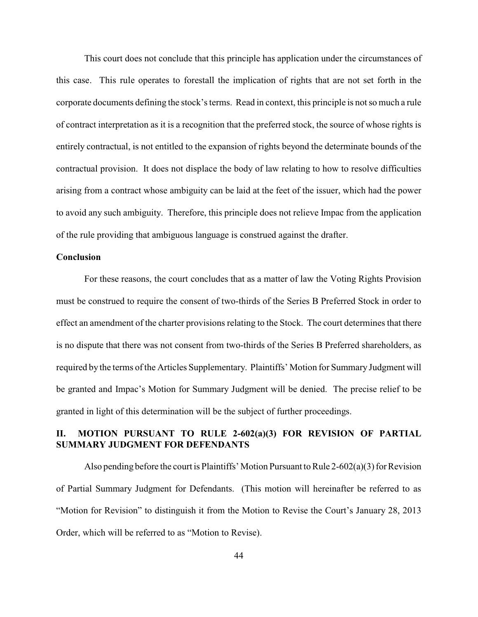This court does not conclude that this principle has application under the circumstances of this case. This rule operates to forestall the implication of rights that are not set forth in the corporate documents defining the stock's terms. Read in context, this principle is not so much a rule of contract interpretation as it is a recognition that the preferred stock, the source of whose rights is entirely contractual, is not entitled to the expansion of rights beyond the determinate bounds of the contractual provision. It does not displace the body of law relating to how to resolve difficulties arising from a contract whose ambiguity can be laid at the feet of the issuer, which had the power to avoid any such ambiguity. Therefore, this principle does not relieve Impac from the application of the rule providing that ambiguous language is construed against the drafter.

## **Conclusion**

For these reasons, the court concludes that as a matter of law the Voting Rights Provision must be construed to require the consent of two-thirds of the Series B Preferred Stock in order to effect an amendment of the charter provisions relating to the Stock. The court determines that there is no dispute that there was not consent from two-thirds of the Series B Preferred shareholders, as required by the terms of the Articles Supplementary. Plaintiffs' Motion for Summary Judgment will be granted and Impac's Motion for Summary Judgment will be denied. The precise relief to be granted in light of this determination will be the subject of further proceedings.

# **II. MOTION PURSUANT TO RULE 2-602(a)(3) FOR REVISION OF PARTIAL SUMMARY JUDGMENT FOR DEFENDANTS**

Also pending before the court is Plaintiffs' Motion Pursuant to Rule  $2-602(a)(3)$  for Revision of Partial Summary Judgment for Defendants. (This motion will hereinafter be referred to as "Motion for Revision" to distinguish it from the Motion to Revise the Court's January 28, 2013 Order, which will be referred to as "Motion to Revise).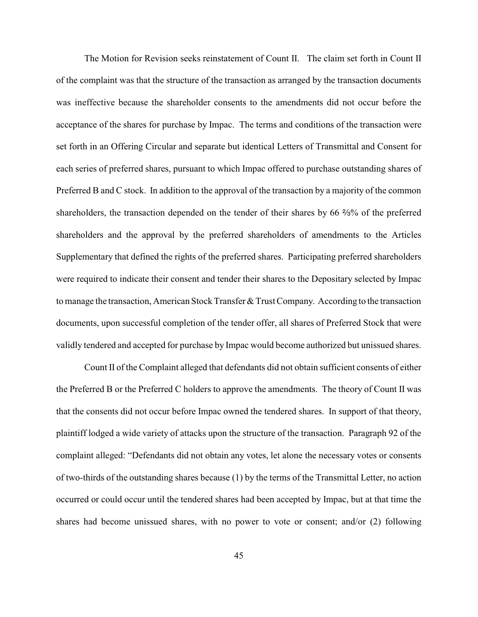The Motion for Revision seeks reinstatement of Count II. The claim set forth in Count II of the complaint was that the structure of the transaction as arranged by the transaction documents was ineffective because the shareholder consents to the amendments did not occur before the acceptance of the shares for purchase by Impac. The terms and conditions of the transaction were set forth in an Offering Circular and separate but identical Letters of Transmittal and Consent for each series of preferred shares, pursuant to which Impac offered to purchase outstanding shares of Preferred B and C stock. In addition to the approval of the transaction by a majority of the common shareholders, the transaction depended on the tender of their shares by  $66\frac{2}{3}\%$  of the preferred shareholders and the approval by the preferred shareholders of amendments to the Articles Supplementary that defined the rights of the preferred shares. Participating preferred shareholders were required to indicate their consent and tender their shares to the Depositary selected by Impac to manage the transaction, American Stock Transfer & Trust Company. According to the transaction documents, upon successful completion of the tender offer, all shares of Preferred Stock that were validly tendered and accepted for purchase by Impac would become authorized but unissued shares.

Count II of the Complaint alleged that defendants did not obtain sufficient consents of either the Preferred B or the Preferred C holders to approve the amendments. The theory of Count II was that the consents did not occur before Impac owned the tendered shares. In support of that theory, plaintiff lodged a wide variety of attacks upon the structure of the transaction. Paragraph 92 of the complaint alleged: "Defendants did not obtain any votes, let alone the necessary votes or consents of two-thirds of the outstanding shares because (1) by the terms of the Transmittal Letter, no action occurred or could occur until the tendered shares had been accepted by Impac, but at that time the shares had become unissued shares, with no power to vote or consent; and/or (2) following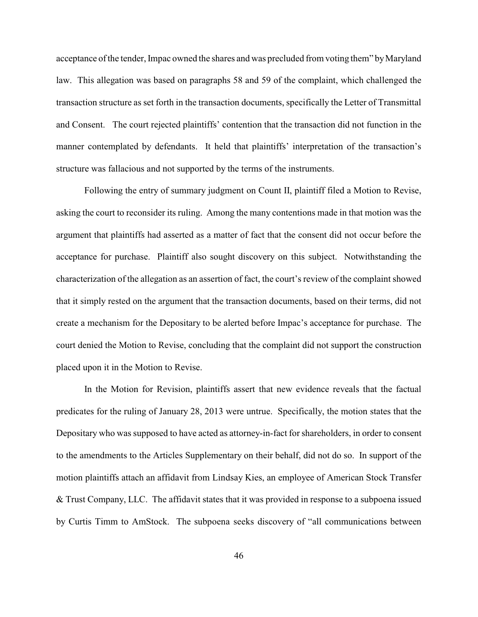acceptance of the tender, Impac owned the shares and was precluded from voting them" by Maryland law. This allegation was based on paragraphs 58 and 59 of the complaint, which challenged the transaction structure as set forth in the transaction documents, specifically the Letter of Transmittal and Consent. The court rejected plaintiffs' contention that the transaction did not function in the manner contemplated by defendants. It held that plaintiffs' interpretation of the transaction's structure was fallacious and not supported by the terms of the instruments.

Following the entry of summary judgment on Count II, plaintiff filed a Motion to Revise, asking the court to reconsider its ruling. Among the many contentions made in that motion was the argument that plaintiffs had asserted as a matter of fact that the consent did not occur before the acceptance for purchase. Plaintiff also sought discovery on this subject. Notwithstanding the characterization of the allegation as an assertion of fact, the court's review of the complaint showed that it simply rested on the argument that the transaction documents, based on their terms, did not create a mechanism for the Depositary to be alerted before Impac's acceptance for purchase. The court denied the Motion to Revise, concluding that the complaint did not support the construction placed upon it in the Motion to Revise.

In the Motion for Revision, plaintiffs assert that new evidence reveals that the factual predicates for the ruling of January 28, 2013 were untrue. Specifically, the motion states that the Depositary who was supposed to have acted as attorney-in-fact for shareholders, in order to consent to the amendments to the Articles Supplementary on their behalf, did not do so. In support of the motion plaintiffs attach an affidavit from Lindsay Kies, an employee of American Stock Transfer & Trust Company, LLC. The affidavit states that it was provided in response to a subpoena issued by Curtis Timm to AmStock. The subpoena seeks discovery of "all communications between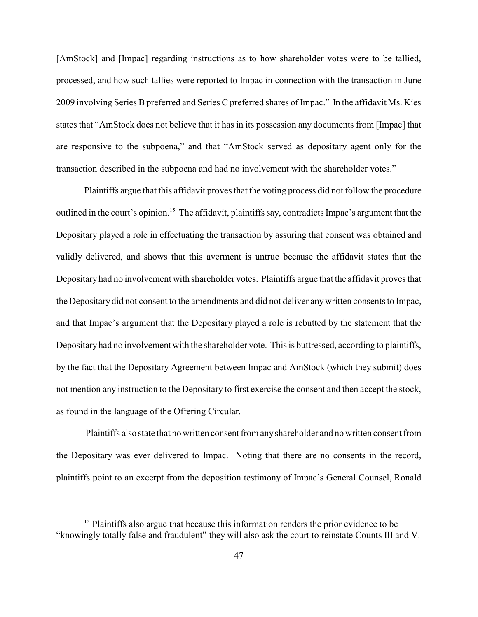[AmStock] and [Impac] regarding instructions as to how shareholder votes were to be tallied, processed, and how such tallies were reported to Impac in connection with the transaction in June 2009 involving Series B preferred and Series C preferred shares of Impac." In the affidavit Ms. Kies states that "AmStock does not believe that it has in its possession any documents from [Impac] that are responsive to the subpoena," and that "AmStock served as depositary agent only for the transaction described in the subpoena and had no involvement with the shareholder votes."

Plaintiffs argue that this affidavit proves that the voting process did not follow the procedure outlined in the court's opinion.<sup>15</sup> The affidavit, plaintiffs say, contradicts Impac's argument that the Depositary played a role in effectuating the transaction by assuring that consent was obtained and validly delivered, and shows that this averment is untrue because the affidavit states that the Depositary had no involvement with shareholder votes. Plaintiffs argue that the affidavit proves that the Depositary did not consent to the amendments and did not deliver anywritten consents to Impac, and that Impac's argument that the Depositary played a role is rebutted by the statement that the Depositaryhad no involvement with the shareholder vote. This is buttressed, according to plaintiffs, by the fact that the Depositary Agreement between Impac and AmStock (which they submit) does not mention any instruction to the Depositary to first exercise the consent and then accept the stock, as found in the language of the Offering Circular.

Plaintiffs also state that no written consent from anyshareholder and no written consent from the Depositary was ever delivered to Impac. Noting that there are no consents in the record, plaintiffs point to an excerpt from the deposition testimony of Impac's General Counsel, Ronald

 $<sup>15</sup>$  Plaintiffs also argue that because this information renders the prior evidence to be</sup> "knowingly totally false and fraudulent" they will also ask the court to reinstate Counts III and V.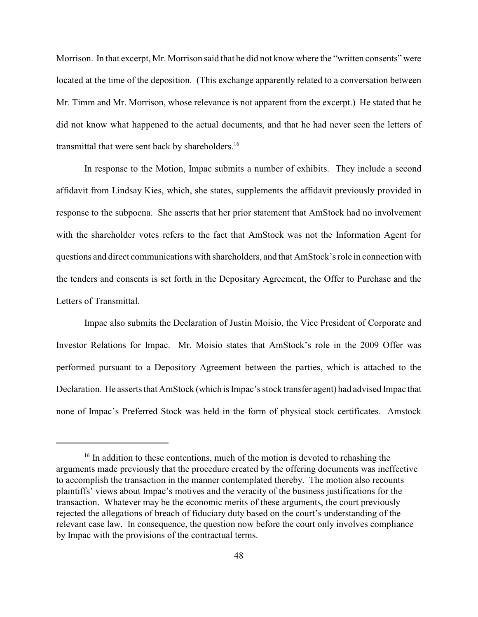Morrison. In that excerpt, Mr. Morrison said that he did not know where the "written consents" were located at the time of the deposition. (This exchange apparently related to a conversation between Mr. Timm and Mr. Morrison, whose relevance is not apparent from the excerpt.) He stated that he did not know what happened to the actual documents, and that he had never seen the letters of transmittal that were sent back by shareholders.<sup>16</sup>

In response to the Motion, Impac submits a number of exhibits. They include a second affidavit from Lindsay Kies, which, she states, supplements the affidavit previously provided in response to the subpoena. She asserts that her prior statement that AmStock had no involvement with the shareholder votes refers to the fact that AmStock was not the Information Agent for questions and direct communications with shareholders, and that AmStock's role in connection with the tenders and consents is set forth in the Depositary Agreement, the Offer to Purchase and the Letters of Transmittal.

Impac also submits the Declaration of Justin Moisio, the Vice President of Corporate and Investor Relations for Impac. Mr. Moisio states that AmStock's role in the 2009 Offer was performed pursuant to a Depository Agreement between the parties, which is attached to the Declaration. He asserts that AmStock (which is Impac's stock transfer agent) had advised Impac that none of Impac's Preferred Stock was held in the form of physical stock certificates. Amstock

 $16$  In addition to these contentions, much of the motion is devoted to rehashing the arguments made previously that the procedure created by the offering documents was ineffective to accomplish the transaction in the manner contemplated thereby. The motion also recounts plaintiffs' views about Impac's motives and the veracity of the business justifications for the transaction. Whatever may be the economic merits of these arguments, the court previously rejected the allegations of breach of fiduciary duty based on the court's understanding of the relevant case law. In consequence, the question now before the court only involves compliance by Impac with the provisions of the contractual terms.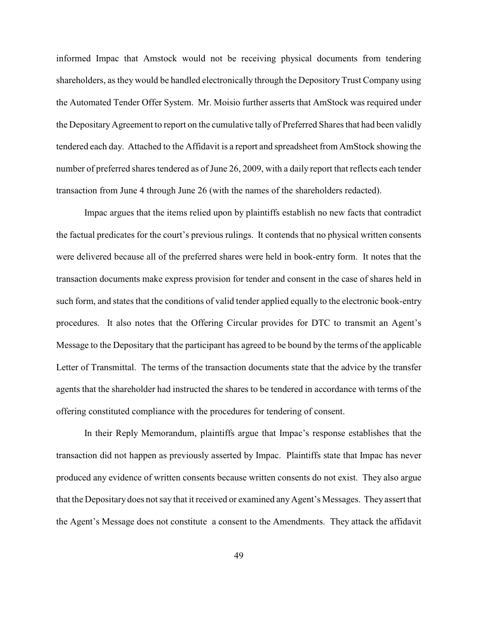informed Impac that Amstock would not be receiving physical documents from tendering shareholders, as they would be handled electronically through the DepositoryTrust Company using the Automated Tender Offer System. Mr. Moisio further asserts that AmStock was required under the Depositary Agreement to report on the cumulative tally of Preferred Shares that had been validly tendered each day. Attached to the Affidavit is a report and spreadsheet from AmStock showing the number of preferred shares tendered as of June 26, 2009, with a daily report that reflects each tender transaction from June 4 through June 26 (with the names of the shareholders redacted).

Impac argues that the items relied upon by plaintiffs establish no new facts that contradict the factual predicates for the court's previous rulings. It contends that no physical written consents were delivered because all of the preferred shares were held in book-entry form. It notes that the transaction documents make express provision for tender and consent in the case of shares held in such form, and states that the conditions of valid tender applied equally to the electronic book-entry procedures. It also notes that the Offering Circular provides for DTC to transmit an Agent's Message to the Depositary that the participant has agreed to be bound by the terms of the applicable Letter of Transmittal. The terms of the transaction documents state that the advice by the transfer agents that the shareholder had instructed the shares to be tendered in accordance with terms of the offering constituted compliance with the procedures for tendering of consent.

In their Reply Memorandum, plaintiffs argue that Impac's response establishes that the transaction did not happen as previously asserted by Impac. Plaintiffs state that Impac has never produced any evidence of written consents because written consents do not exist. They also argue that the Depositary does not say that it received or examined anyAgent's Messages. They assert that the Agent's Message does not constitute a consent to the Amendments. They attack the affidavit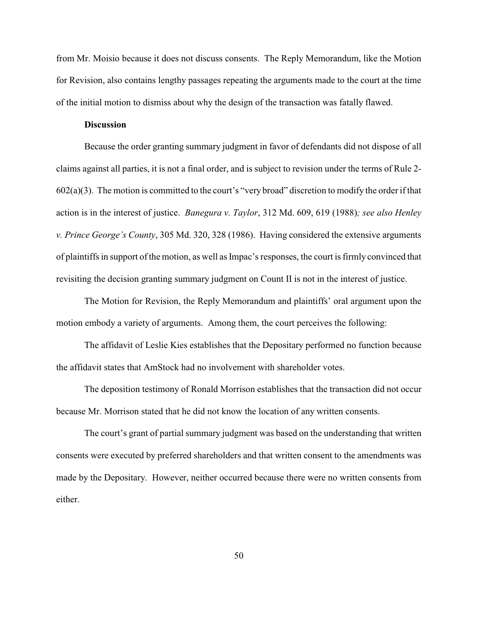from Mr. Moisio because it does not discuss consents. The Reply Memorandum, like the Motion for Revision, also contains lengthy passages repeating the arguments made to the court at the time of the initial motion to dismiss about why the design of the transaction was fatally flawed.

## **Discussion**

Because the order granting summary judgment in favor of defendants did not dispose of all claims against all parties, it is not a final order, and is subject to revision under the terms of Rule 2- 602(a)(3). The motion is committed to the court's "very broad" discretion to modify the order if that action is in the interest of justice. *Banegura v. Taylor*, 312 Md. 609, 619 (1988)*; see also Henley v. Prince George's County*, 305 Md. 320, 328 (1986). Having considered the extensive arguments of plaintiffs in support of the motion, as well as Impac's responses, the court is firmly convinced that revisiting the decision granting summary judgment on Count II is not in the interest of justice.

The Motion for Revision, the Reply Memorandum and plaintiffs' oral argument upon the motion embody a variety of arguments. Among them, the court perceives the following:

The affidavit of Leslie Kies establishes that the Depositary performed no function because the affidavit states that AmStock had no involvement with shareholder votes.

The deposition testimony of Ronald Morrison establishes that the transaction did not occur because Mr. Morrison stated that he did not know the location of any written consents.

The court's grant of partial summary judgment was based on the understanding that written consents were executed by preferred shareholders and that written consent to the amendments was made by the Depositary. However, neither occurred because there were no written consents from either.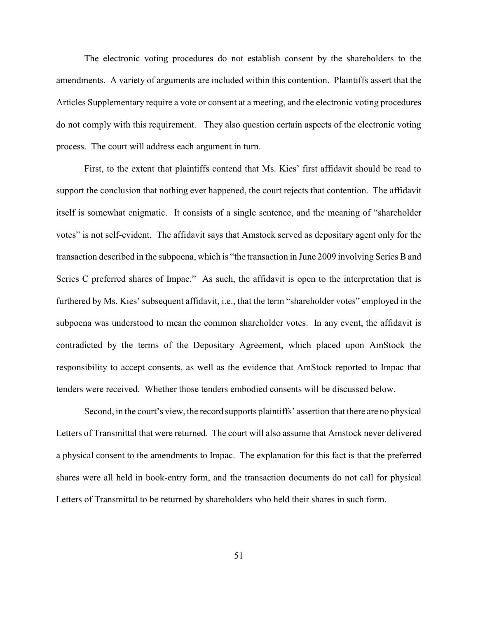The electronic voting procedures do not establish consent by the shareholders to the amendments. A variety of arguments are included within this contention. Plaintiffs assert that the Articles Supplementary require a vote or consent at a meeting, and the electronic voting procedures do not comply with this requirement. They also question certain aspects of the electronic voting process. The court will address each argument in turn.

First, to the extent that plaintiffs contend that Ms. Kies' first affidavit should be read to support the conclusion that nothing ever happened, the court rejects that contention. The affidavit itself is somewhat enigmatic. It consists of a single sentence, and the meaning of "shareholder votes" is not self-evident. The affidavit says that Amstock served as depositary agent only for the transaction described in the subpoena, which is "the transaction in June 2009 involving Series B and Series C preferred shares of Impac." As such, the affidavit is open to the interpretation that is furthered by Ms. Kies' subsequent affidavit, i.e., that the term "shareholder votes" employed in the subpoena was understood to mean the common shareholder votes. In any event, the affidavit is contradicted by the terms of the Depositary Agreement, which placed upon AmStock the responsibility to accept consents, as well as the evidence that AmStock reported to Impac that tenders were received. Whether those tenders embodied consents will be discussed below.

Second, in the court's view, the record supports plaintiffs' assertion that there are no physical Letters of Transmittal that were returned. The court will also assume that Amstock never delivered a physical consent to the amendments to Impac. The explanation for this fact is that the preferred shares were all held in book-entry form, and the transaction documents do not call for physical Letters of Transmittal to be returned by shareholders who held their shares in such form.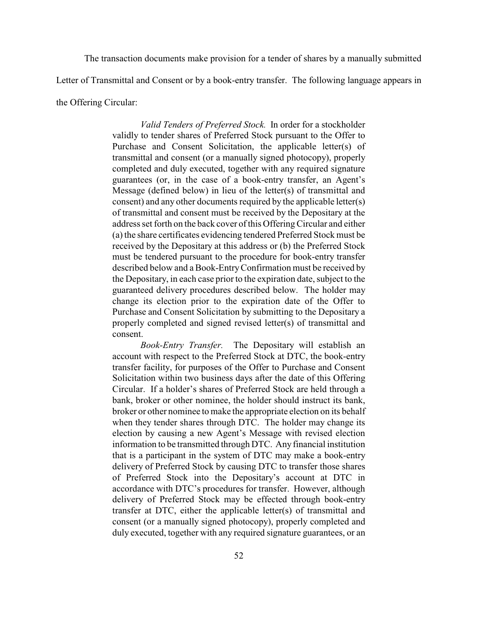The transaction documents make provision for a tender of shares by a manually submitted

Letter of Transmittal and Consent or by a book-entry transfer. The following language appears in

the Offering Circular:

*Valid Tenders of Preferred Stock.* In order for a stockholder validly to tender shares of Preferred Stock pursuant to the Offer to Purchase and Consent Solicitation, the applicable letter(s) of transmittal and consent (or a manually signed photocopy), properly completed and duly executed, together with any required signature guarantees (or, in the case of a book-entry transfer, an Agent's Message (defined below) in lieu of the letter(s) of transmittal and consent) and any other documents required by the applicable letter(s) of transmittal and consent must be received by the Depositary at the address set forth on the back cover of this Offering Circular and either (a) the share certificates evidencing tendered Preferred Stock must be received by the Depositary at this address or (b) the Preferred Stock must be tendered pursuant to the procedure for book-entry transfer described below and a Book-EntryConfirmation must be received by the Depositary, in each case prior to the expiration date, subject to the guaranteed delivery procedures described below. The holder may change its election prior to the expiration date of the Offer to Purchase and Consent Solicitation by submitting to the Depositary a properly completed and signed revised letter(s) of transmittal and consent.

*Book-Entry Transfer.* The Depositary will establish an account with respect to the Preferred Stock at DTC, the book-entry transfer facility, for purposes of the Offer to Purchase and Consent Solicitation within two business days after the date of this Offering Circular. If a holder's shares of Preferred Stock are held through a bank, broker or other nominee, the holder should instruct its bank, broker or other nominee to make the appropriate election on its behalf when they tender shares through DTC. The holder may change its election by causing a new Agent's Message with revised election information to be transmitted through DTC. Any financial institution that is a participant in the system of DTC may make a book-entry delivery of Preferred Stock by causing DTC to transfer those shares of Preferred Stock into the Depositary's account at DTC in accordance with DTC's procedures for transfer. However, although delivery of Preferred Stock may be effected through book-entry transfer at DTC, either the applicable letter(s) of transmittal and consent (or a manually signed photocopy), properly completed and duly executed, together with any required signature guarantees, or an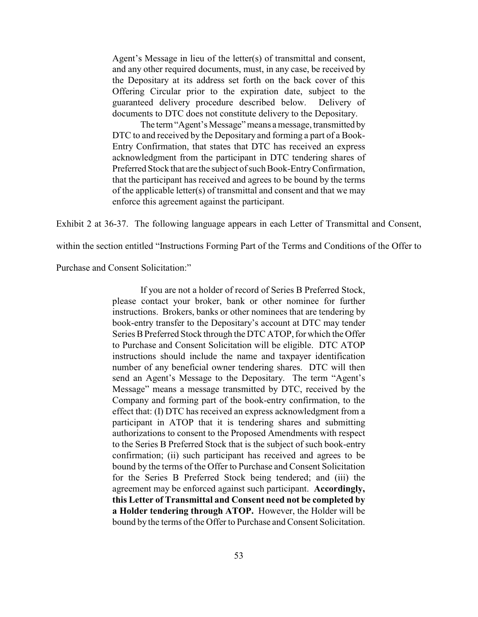Agent's Message in lieu of the letter(s) of transmittal and consent, and any other required documents, must, in any case, be received by the Depositary at its address set forth on the back cover of this Offering Circular prior to the expiration date, subject to the guaranteed delivery procedure described below. Delivery of documents to DTC does not constitute delivery to the Depositary.

The term "Agent's Message" means a message, transmitted by DTC to and received by the Depositary and forming a part of a Book-Entry Confirmation, that states that DTC has received an express acknowledgment from the participant in DTC tendering shares of Preferred Stock that are the subject of such Book-EntryConfirmation, that the participant has received and agrees to be bound by the terms of the applicable letter(s) of transmittal and consent and that we may enforce this agreement against the participant.

Exhibit 2 at 36-37. The following language appears in each Letter of Transmittal and Consent,

within the section entitled "Instructions Forming Part of the Terms and Conditions of the Offer to

Purchase and Consent Solicitation:"

If you are not a holder of record of Series B Preferred Stock, please contact your broker, bank or other nominee for further instructions. Brokers, banks or other nominees that are tendering by book-entry transfer to the Depositary's account at DTC may tender Series B Preferred Stock through the DTC ATOP, for which the Offer to Purchase and Consent Solicitation will be eligible. DTC ATOP instructions should include the name and taxpayer identification number of any beneficial owner tendering shares. DTC will then send an Agent's Message to the Depositary. The term "Agent's Message" means a message transmitted by DTC, received by the Company and forming part of the book-entry confirmation, to the effect that: (I) DTC has received an express acknowledgment from a participant in ATOP that it is tendering shares and submitting authorizations to consent to the Proposed Amendments with respect to the Series B Preferred Stock that is the subject of such book-entry confirmation; (ii) such participant has received and agrees to be bound by the terms of the Offer to Purchase and Consent Solicitation for the Series B Preferred Stock being tendered; and (iii) the agreement may be enforced against such participant. **Accordingly, this Letter of Transmittal and Consent need not be completed by a Holder tendering through ATOP.** However, the Holder will be bound by the terms of the Offer to Purchase and Consent Solicitation.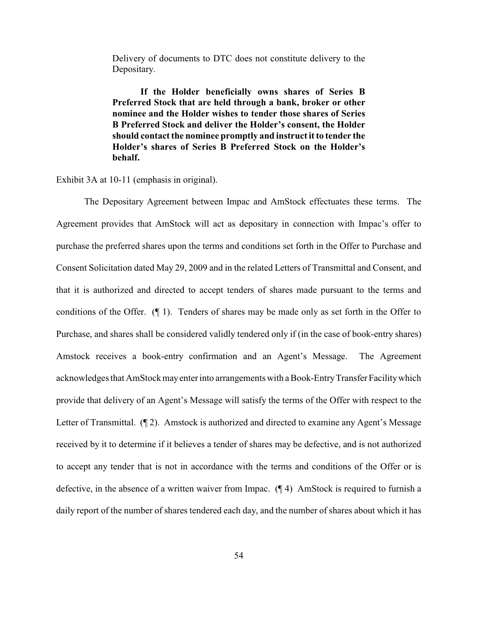Delivery of documents to DTC does not constitute delivery to the Depositary.

**If the Holder beneficially owns shares of Series B Preferred Stock that are held through a bank, broker or other nominee and the Holder wishes to tender those shares of Series B Preferred Stock and deliver the Holder's consent, the Holder** should contact the nominee promptly and instruct it to tender the **Holder's shares of Series B Preferred Stock on the Holder's behalf.**

Exhibit 3A at 10-11 (emphasis in original).

The Depositary Agreement between Impac and AmStock effectuates these terms. The Agreement provides that AmStock will act as depositary in connection with Impac's offer to purchase the preferred shares upon the terms and conditions set forth in the Offer to Purchase and Consent Solicitation dated May 29, 2009 and in the related Letters of Transmittal and Consent, and that it is authorized and directed to accept tenders of shares made pursuant to the terms and conditions of the Offer. (¶ 1). Tenders of shares may be made only as set forth in the Offer to Purchase, and shares shall be considered validly tendered only if (in the case of book-entry shares) Amstock receives a book-entry confirmation and an Agent's Message. The Agreement acknowledges that AmStockmayenterinto arrangements with a Book-EntryTransfer Facilitywhich provide that delivery of an Agent's Message will satisfy the terms of the Offer with respect to the Letter of Transmittal. (¶ 2). Amstock is authorized and directed to examine any Agent's Message received by it to determine if it believes a tender of shares may be defective, and is not authorized to accept any tender that is not in accordance with the terms and conditions of the Offer or is defective, in the absence of a written waiver from Impac. (¶ 4) AmStock is required to furnish a daily report of the number of shares tendered each day, and the number of shares about which it has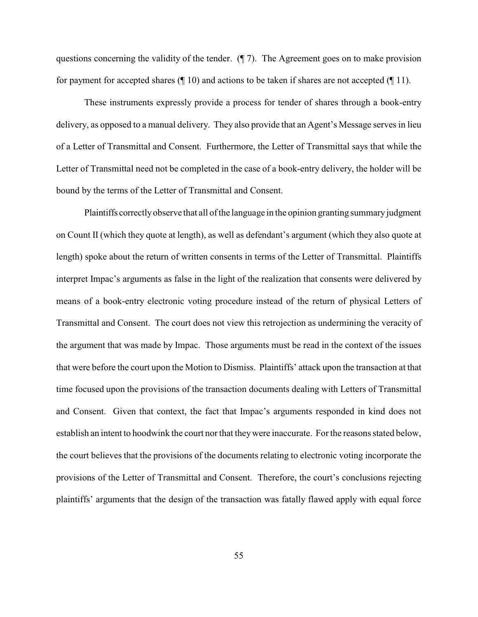questions concerning the validity of the tender. (¶ 7). The Agreement goes on to make provision for payment for accepted shares  $(\P 10)$  and actions to be taken if shares are not accepted  $(\P 11)$ .

These instruments expressly provide a process for tender of shares through a book-entry delivery, as opposed to a manual delivery. They also provide that an Agent's Message serves in lieu of a Letter of Transmittal and Consent. Furthermore, the Letter of Transmittal says that while the Letter of Transmittal need not be completed in the case of a book-entry delivery, the holder will be bound by the terms of the Letter of Transmittal and Consent.

Plaintiffs correctly observe that all of the language in the opinion granting summary judgment on Count II (which they quote at length), as well as defendant's argument (which they also quote at length) spoke about the return of written consents in terms of the Letter of Transmittal. Plaintiffs interpret Impac's arguments as false in the light of the realization that consents were delivered by means of a book-entry electronic voting procedure instead of the return of physical Letters of Transmittal and Consent. The court does not view this retrojection as undermining the veracity of the argument that was made by Impac. Those arguments must be read in the context of the issues that were before the court upon the Motion to Dismiss. Plaintiffs' attack upon the transaction at that time focused upon the provisions of the transaction documents dealing with Letters of Transmittal and Consent. Given that context, the fact that Impac's arguments responded in kind does not establish an intent to hoodwink the court nor that theywere inaccurate. Forthe reasons stated below, the court believes that the provisions of the documents relating to electronic voting incorporate the provisions of the Letter of Transmittal and Consent. Therefore, the court's conclusions rejecting plaintiffs' arguments that the design of the transaction was fatally flawed apply with equal force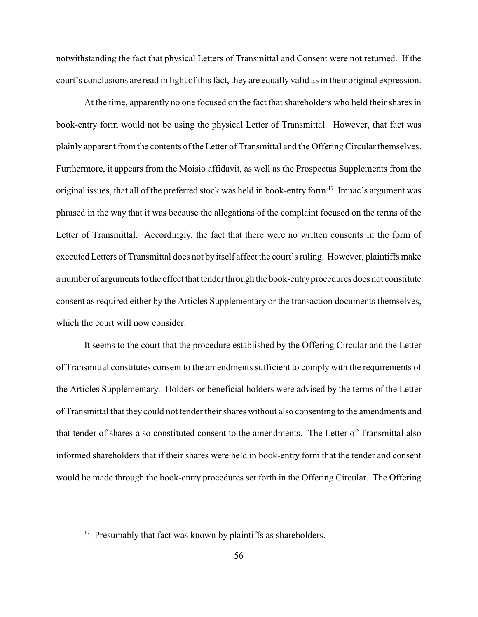notwithstanding the fact that physical Letters of Transmittal and Consent were not returned. If the court's conclusions are read in light of this fact, they are equally valid as in their original expression.

At the time, apparently no one focused on the fact that shareholders who held their shares in book-entry form would not be using the physical Letter of Transmittal. However, that fact was plainly apparent from the contents of the Letter of Transmittal and the Offering Circular themselves. Furthermore, it appears from the Moisio affidavit, as well as the Prospectus Supplements from the original issues, that all of the preferred stock was held in book-entry form.<sup>17</sup> Impac's argument was phrased in the way that it was because the allegations of the complaint focused on the terms of the Letter of Transmittal. Accordingly, the fact that there were no written consents in the form of executed Letters of Transmittal does not by itself affect the court's ruling. However, plaintiffs make a number of arguments to the effect that tender through the book-entry procedures does not constitute consent as required either by the Articles Supplementary or the transaction documents themselves, which the court will now consider.

It seems to the court that the procedure established by the Offering Circular and the Letter of Transmittal constitutes consent to the amendments sufficient to comply with the requirements of the Articles Supplementary. Holders or beneficial holders were advised by the terms of the Letter of Transmittal that they could not tender their shares without also consenting to the amendments and that tender of shares also constituted consent to the amendments. The Letter of Transmittal also informed shareholders that if their shares were held in book-entry form that the tender and consent would be made through the book-entry procedures set forth in the Offering Circular. The Offering

 $17$  Presumably that fact was known by plaintiffs as shareholders.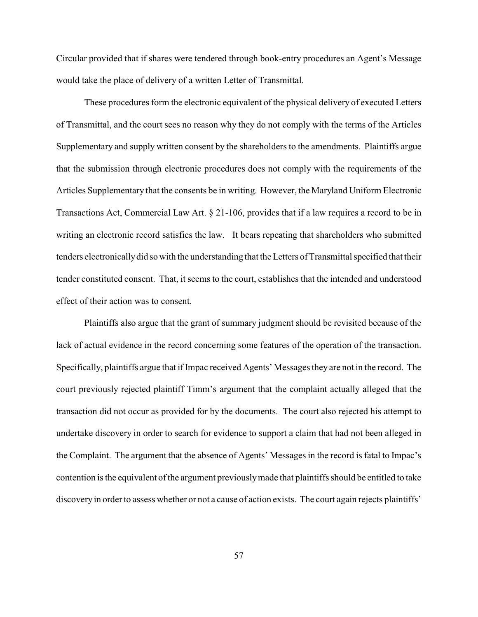Circular provided that if shares were tendered through book-entry procedures an Agent's Message would take the place of delivery of a written Letter of Transmittal.

These procedures form the electronic equivalent of the physical delivery of executed Letters of Transmittal, and the court sees no reason why they do not comply with the terms of the Articles Supplementary and supply written consent by the shareholders to the amendments. Plaintiffs argue that the submission through electronic procedures does not comply with the requirements of the Articles Supplementary that the consents be in writing. However, the Maryland Uniform Electronic Transactions Act, Commercial Law Art. § 21-106, provides that if a law requires a record to be in writing an electronic record satisfies the law. It bears repeating that shareholders who submitted tenders electronicallydid so with the understanding that the Letters of Transmittal specified that their tender constituted consent. That, it seems to the court, establishes that the intended and understood effect of their action was to consent.

Plaintiffs also argue that the grant of summary judgment should be revisited because of the lack of actual evidence in the record concerning some features of the operation of the transaction. Specifically, plaintiffs argue that if Impac received Agents' Messages they are not in the record. The court previously rejected plaintiff Timm's argument that the complaint actually alleged that the transaction did not occur as provided for by the documents. The court also rejected his attempt to undertake discovery in order to search for evidence to support a claim that had not been alleged in the Complaint. The argument that the absence of Agents' Messages in the record is fatal to Impac's contention is the equivalent of the argument previouslymade that plaintiffs should be entitled to take discovery in order to assess whether or not a cause of action exists. The court again rejects plaintiffs'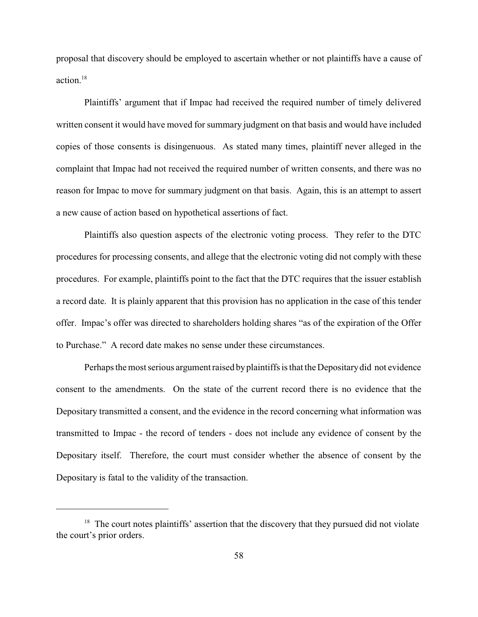proposal that discovery should be employed to ascertain whether or not plaintiffs have a cause of action.<sup>18</sup>

Plaintiffs' argument that if Impac had received the required number of timely delivered written consent it would have moved for summary judgment on that basis and would have included copies of those consents is disingenuous. As stated many times, plaintiff never alleged in the complaint that Impac had not received the required number of written consents, and there was no reason for Impac to move for summary judgment on that basis. Again, this is an attempt to assert a new cause of action based on hypothetical assertions of fact.

Plaintiffs also question aspects of the electronic voting process. They refer to the DTC procedures for processing consents, and allege that the electronic voting did not comply with these procedures. For example, plaintiffs point to the fact that the DTC requires that the issuer establish a record date. It is plainly apparent that this provision has no application in the case of this tender offer. Impac's offer was directed to shareholders holding shares "as of the expiration of the Offer to Purchase." A record date makes no sense under these circumstances.

Perhaps the most serious argument raised byplaintiffs is that the Depositarydid not evidence consent to the amendments. On the state of the current record there is no evidence that the Depositary transmitted a consent, and the evidence in the record concerning what information was transmitted to Impac - the record of tenders - does not include any evidence of consent by the Depositary itself. Therefore, the court must consider whether the absence of consent by the Depositary is fatal to the validity of the transaction.

 $18$  The court notes plaintiffs' assertion that the discovery that they pursued did not violate the court's prior orders.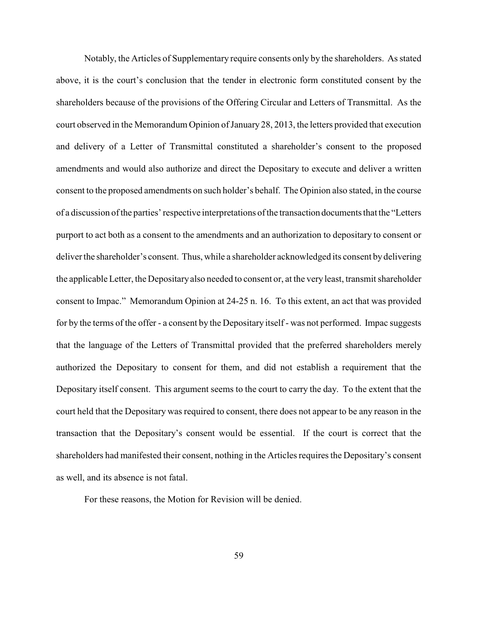Notably, the Articles of Supplementary require consents only by the shareholders. As stated above, it is the court's conclusion that the tender in electronic form constituted consent by the shareholders because of the provisions of the Offering Circular and Letters of Transmittal. As the court observed in the Memorandum Opinion of January 28, 2013, the letters provided that execution and delivery of a Letter of Transmittal constituted a shareholder's consent to the proposed amendments and would also authorize and direct the Depositary to execute and deliver a written consent to the proposed amendments on such holder's behalf. The Opinion also stated, in the course of a discussion of the parties'respective interpretations of the transaction documents that the "Letters purport to act both as a consent to the amendments and an authorization to depositary to consent or deliver the shareholder's consent. Thus, while a shareholder acknowledged its consent by delivering the applicableLetter, the Depositaryalso needed to consent or, at the very least, transmit shareholder consent to Impac." Memorandum Opinion at 24-25 n. 16. To this extent, an act that was provided for by the terms of the offer - a consent by the Depositary itself - was not performed. Impac suggests that the language of the Letters of Transmittal provided that the preferred shareholders merely authorized the Depositary to consent for them, and did not establish a requirement that the Depositary itself consent. This argument seems to the court to carry the day. To the extent that the court held that the Depositary was required to consent, there does not appear to be any reason in the transaction that the Depositary's consent would be essential. If the court is correct that the shareholders had manifested their consent, nothing in the Articles requires the Depositary's consent as well, and its absence is not fatal.

For these reasons, the Motion for Revision will be denied.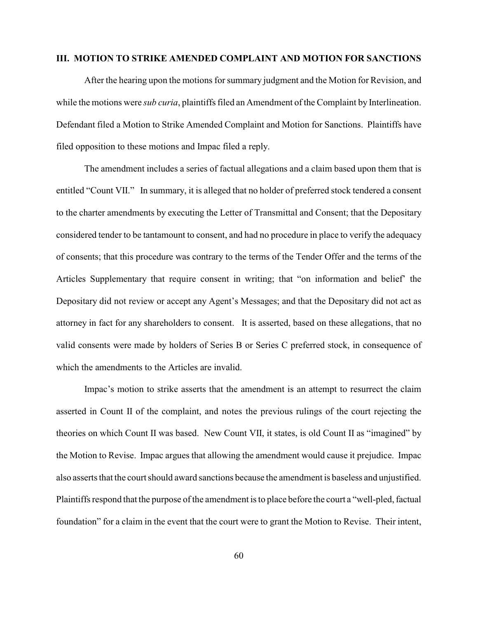#### **III. MOTION TO STRIKE AMENDED COMPLAINT AND MOTION FOR SANCTIONS**

After the hearing upon the motions for summary judgment and the Motion for Revision, and while the motions were *sub curia*, plaintiffs filed an Amendment of the Complaint by Interlineation. Defendant filed a Motion to Strike Amended Complaint and Motion for Sanctions. Plaintiffs have filed opposition to these motions and Impac filed a reply.

The amendment includes a series of factual allegations and a claim based upon them that is entitled "Count VII." In summary, it is alleged that no holder of preferred stock tendered a consent to the charter amendments by executing the Letter of Transmittal and Consent; that the Depositary considered tender to be tantamount to consent, and had no procedure in place to verify the adequacy of consents; that this procedure was contrary to the terms of the Tender Offer and the terms of the Articles Supplementary that require consent in writing; that "on information and belief' the Depositary did not review or accept any Agent's Messages; and that the Depositary did not act as attorney in fact for any shareholders to consent. It is asserted, based on these allegations, that no valid consents were made by holders of Series B or Series C preferred stock, in consequence of which the amendments to the Articles are invalid.

Impac's motion to strike asserts that the amendment is an attempt to resurrect the claim asserted in Count II of the complaint, and notes the previous rulings of the court rejecting the theories on which Count II was based. New Count VII, it states, is old Count II as "imagined" by the Motion to Revise. Impac argues that allowing the amendment would cause it prejudice. Impac also asserts that the court should award sanctions because the amendment is baseless and unjustified. Plaintiffs respond that the purpose of the amendment is to place before the court a "well-pled, factual foundation" for a claim in the event that the court were to grant the Motion to Revise. Their intent,